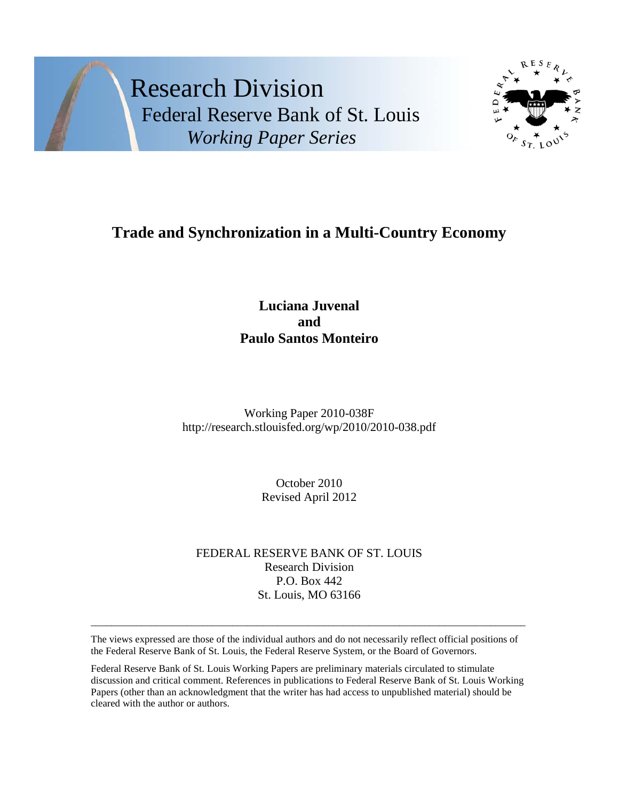**Research Division<br>Federal Reserve Bank of St. Louis**  *Working Paper Series*



# **Trade and Synchronization in a Multi-Country Economy**

# **Luciana Juvenal and Paulo Santos Monteiro**

Working Paper 2010-038F http://research.stlouisfed.org/wp/2010/2010-038.pdf

> October 2010 Revised April 2012

FEDERAL RESERVE BANK OF ST. LOUIS Research Division P.O. Box 442 St. Louis, MO 63166

The views expressed are those of the individual authors and do not necessarily reflect official positions of the Federal Reserve Bank of St. Louis, the Federal Reserve System, or the Board of Governors.

\_\_\_\_\_\_\_\_\_\_\_\_\_\_\_\_\_\_\_\_\_\_\_\_\_\_\_\_\_\_\_\_\_\_\_\_\_\_\_\_\_\_\_\_\_\_\_\_\_\_\_\_\_\_\_\_\_\_\_\_\_\_\_\_\_\_\_\_\_\_\_\_\_\_\_\_\_\_\_\_\_\_\_\_\_\_

Federal Reserve Bank of St. Louis Working Papers are preliminary materials circulated to stimulate discussion and critical comment. References in publications to Federal Reserve Bank of St. Louis Working Papers (other than an acknowledgment that the writer has had access to unpublished material) should be cleared with the author or authors.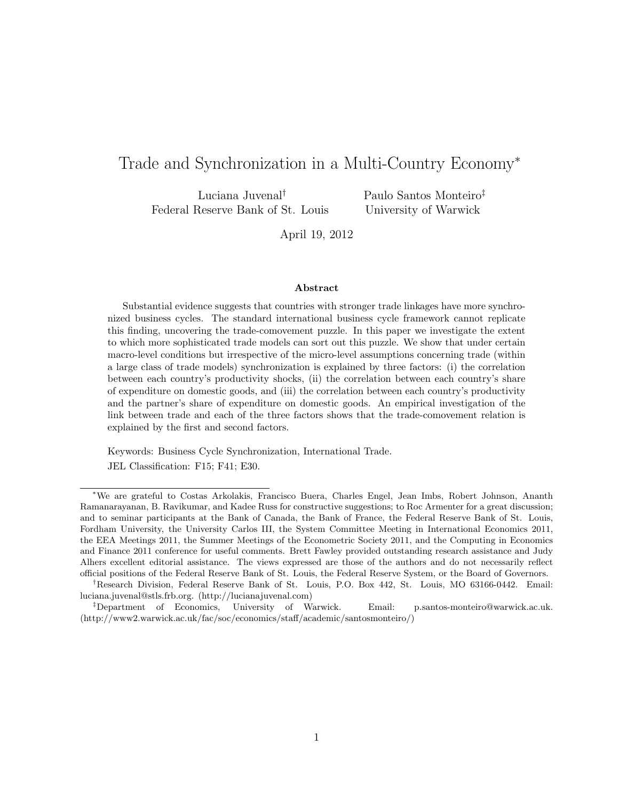# Trade and Synchronization in a Multi-Country Economy<sup>∗</sup>

Luciana Juvenal† Federal Reserve Bank of St. Louis Paulo Santos Monteiro‡ University of Warwick

April 19, 2012

#### Abstract

Substantial evidence suggests that countries with stronger trade linkages have more synchronized business cycles. The standard international business cycle framework cannot replicate this finding, uncovering the trade-comovement puzzle. In this paper we investigate the extent to which more sophisticated trade models can sort out this puzzle. We show that under certain macro-level conditions but irrespective of the micro-level assumptions concerning trade (within a large class of trade models) synchronization is explained by three factors: (i) the correlation between each country's productivity shocks, (ii) the correlation between each country's share of expenditure on domestic goods, and (iii) the correlation between each country's productivity and the partner's share of expenditure on domestic goods. An empirical investigation of the link between trade and each of the three factors shows that the trade-comovement relation is explained by the first and second factors.

Keywords: Business Cycle Synchronization, International Trade. JEL Classification: F15; F41; E30.

<sup>∗</sup>We are grateful to Costas Arkolakis, Francisco Buera, Charles Engel, Jean Imbs, Robert Johnson, Ananth Ramanarayanan, B. Ravikumar, and Kadee Russ for constructive suggestions; to Roc Armenter for a great discussion; and to seminar participants at the Bank of Canada, the Bank of France, the Federal Reserve Bank of St. Louis, Fordham University, the University Carlos III, the System Committee Meeting in International Economics 2011, the EEA Meetings 2011, the Summer Meetings of the Econometric Society 2011, and the Computing in Economics and Finance 2011 conference for useful comments. Brett Fawley provided outstanding research assistance and Judy Alhers excellent editorial assistance. The views expressed are those of the authors and do not necessarily reflect official positions of the Federal Reserve Bank of St. Louis, the Federal Reserve System, or the Board of Governors.

<sup>†</sup>Research Division, Federal Reserve Bank of St. Louis, P.O. Box 442, St. Louis, MO 63166-0442. Email: luciana.juvenal@stls.frb.org. (http://lucianajuvenal.com)

<sup>‡</sup>Department of Economics, University of Warwick. Email: p.santos-monteiro@warwick.ac.uk. (http://www2.warwick.ac.uk/fac/soc/economics/staff/academic/santosmonteiro/)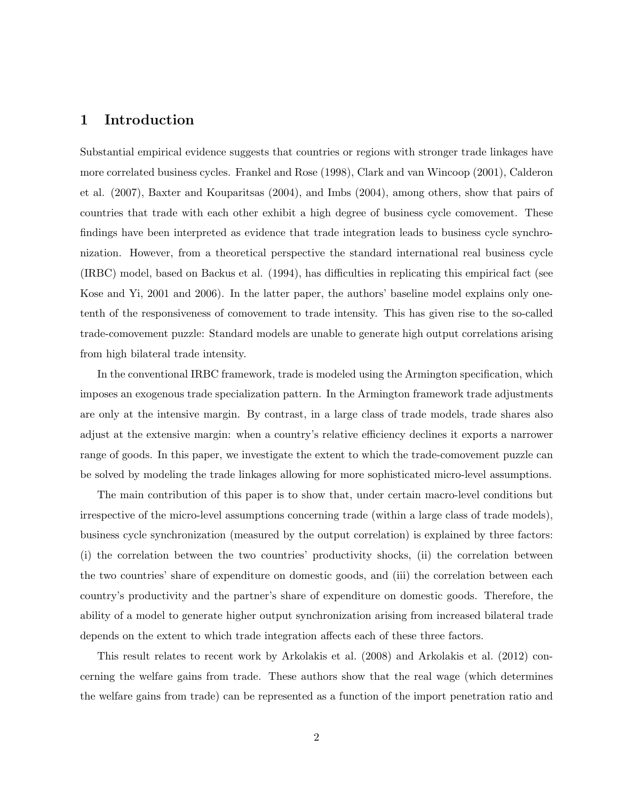## 1 Introduction

Substantial empirical evidence suggests that countries or regions with stronger trade linkages have more correlated business cycles. Frankel and Rose (1998), Clark and van Wincoop (2001), Calderon et al. (2007), Baxter and Kouparitsas (2004), and Imbs (2004), among others, show that pairs of countries that trade with each other exhibit a high degree of business cycle comovement. These findings have been interpreted as evidence that trade integration leads to business cycle synchronization. However, from a theoretical perspective the standard international real business cycle (IRBC) model, based on Backus et al. (1994), has difficulties in replicating this empirical fact (see Kose and Yi, 2001 and 2006). In the latter paper, the authors' baseline model explains only onetenth of the responsiveness of comovement to trade intensity. This has given rise to the so-called trade-comovement puzzle: Standard models are unable to generate high output correlations arising from high bilateral trade intensity.

In the conventional IRBC framework, trade is modeled using the Armington specification, which imposes an exogenous trade specialization pattern. In the Armington framework trade adjustments are only at the intensive margin. By contrast, in a large class of trade models, trade shares also adjust at the extensive margin: when a country's relative efficiency declines it exports a narrower range of goods. In this paper, we investigate the extent to which the trade-comovement puzzle can be solved by modeling the trade linkages allowing for more sophisticated micro-level assumptions.

The main contribution of this paper is to show that, under certain macro-level conditions but irrespective of the micro-level assumptions concerning trade (within a large class of trade models), business cycle synchronization (measured by the output correlation) is explained by three factors: (i) the correlation between the two countries' productivity shocks, (ii) the correlation between the two countries' share of expenditure on domestic goods, and (iii) the correlation between each country's productivity and the partner's share of expenditure on domestic goods. Therefore, the ability of a model to generate higher output synchronization arising from increased bilateral trade depends on the extent to which trade integration affects each of these three factors.

This result relates to recent work by Arkolakis et al. (2008) and Arkolakis et al. (2012) concerning the welfare gains from trade. These authors show that the real wage (which determines the welfare gains from trade) can be represented as a function of the import penetration ratio and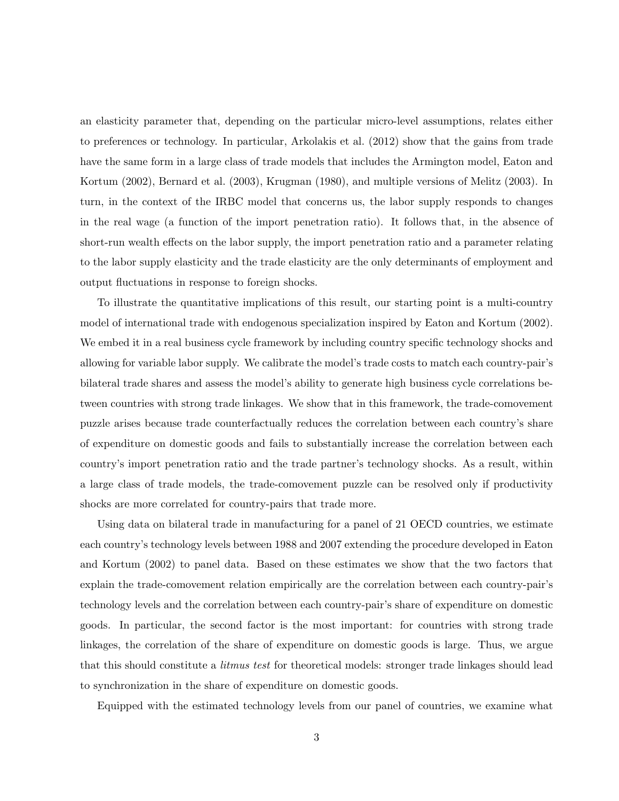an elasticity parameter that, depending on the particular micro-level assumptions, relates either to preferences or technology. In particular, Arkolakis et al. (2012) show that the gains from trade have the same form in a large class of trade models that includes the Armington model, Eaton and Kortum (2002), Bernard et al. (2003), Krugman (1980), and multiple versions of Melitz (2003). In turn, in the context of the IRBC model that concerns us, the labor supply responds to changes in the real wage (a function of the import penetration ratio). It follows that, in the absence of short-run wealth effects on the labor supply, the import penetration ratio and a parameter relating to the labor supply elasticity and the trade elasticity are the only determinants of employment and output fluctuations in response to foreign shocks.

To illustrate the quantitative implications of this result, our starting point is a multi-country model of international trade with endogenous specialization inspired by Eaton and Kortum (2002). We embed it in a real business cycle framework by including country specific technology shocks and allowing for variable labor supply. We calibrate the model's trade costs to match each country-pair's bilateral trade shares and assess the model's ability to generate high business cycle correlations between countries with strong trade linkages. We show that in this framework, the trade-comovement puzzle arises because trade counterfactually reduces the correlation between each country's share of expenditure on domestic goods and fails to substantially increase the correlation between each country's import penetration ratio and the trade partner's technology shocks. As a result, within a large class of trade models, the trade-comovement puzzle can be resolved only if productivity shocks are more correlated for country-pairs that trade more.

Using data on bilateral trade in manufacturing for a panel of 21 OECD countries, we estimate each country's technology levels between 1988 and 2007 extending the procedure developed in Eaton and Kortum (2002) to panel data. Based on these estimates we show that the two factors that explain the trade-comovement relation empirically are the correlation between each country-pair's technology levels and the correlation between each country-pair's share of expenditure on domestic goods. In particular, the second factor is the most important: for countries with strong trade linkages, the correlation of the share of expenditure on domestic goods is large. Thus, we argue that this should constitute a *litmus test* for theoretical models: stronger trade linkages should lead to synchronization in the share of expenditure on domestic goods.

Equipped with the estimated technology levels from our panel of countries, we examine what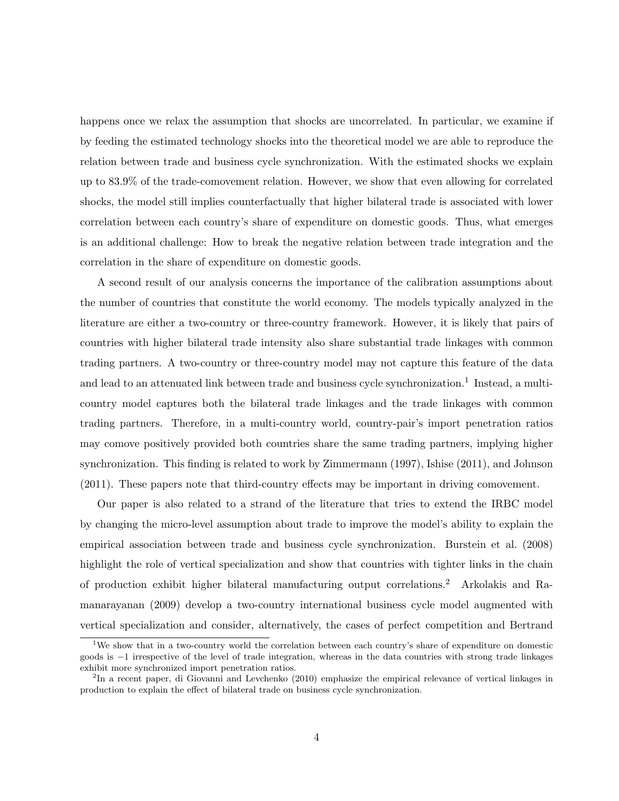happens once we relax the assumption that shocks are uncorrelated. In particular, we examine if by feeding the estimated technology shocks into the theoretical model we are able to reproduce the relation between trade and business cycle synchronization. With the estimated shocks we explain up to 83.9% of the trade-comovement relation. However, we show that even allowing for correlated shocks, the model still implies counterfactually that higher bilateral trade is associated with lower correlation between each country's share of expenditure on domestic goods. Thus, what emerges is an additional challenge: How to break the negative relation between trade integration and the correlation in the share of expenditure on domestic goods.

A second result of our analysis concerns the importance of the calibration assumptions about the number of countries that constitute the world economy. The models typically analyzed in the literature are either a two-country or three-country framework. However, it is likely that pairs of countries with higher bilateral trade intensity also share substantial trade linkages with common trading partners. A two-country or three-country model may not capture this feature of the data and lead to an attenuated link between trade and business cycle synchronization.<sup>1</sup> Instead, a multicountry model captures both the bilateral trade linkages and the trade linkages with common trading partners. Therefore, in a multi-country world, country-pair's import penetration ratios may comove positively provided both countries share the same trading partners, implying higher synchronization. This finding is related to work by Zimmermann (1997), Ishise (2011), and Johnson (2011). These papers note that third-country effects may be important in driving comovement.

Our paper is also related to a strand of the literature that tries to extend the IRBC model by changing the micro-level assumption about trade to improve the model's ability to explain the empirical association between trade and business cycle synchronization. Burstein et al. (2008) highlight the role of vertical specialization and show that countries with tighter links in the chain of production exhibit higher bilateral manufacturing output correlations.<sup>2</sup> Arkolakis and Ramanarayanan (2009) develop a two-country international business cycle model augmented with vertical specialization and consider, alternatively, the cases of perfect competition and Bertrand

<sup>&</sup>lt;sup>1</sup>We show that in a two-country world the correlation between each country's share of expenditure on domestic goods is −1 irrespective of the level of trade integration, whereas in the data countries with strong trade linkages exhibit more synchronized import penetration ratios.

<sup>&</sup>lt;sup>2</sup>In a recent paper, di Giovanni and Levchenko (2010) emphasize the empirical relevance of vertical linkages in production to explain the effect of bilateral trade on business cycle synchronization.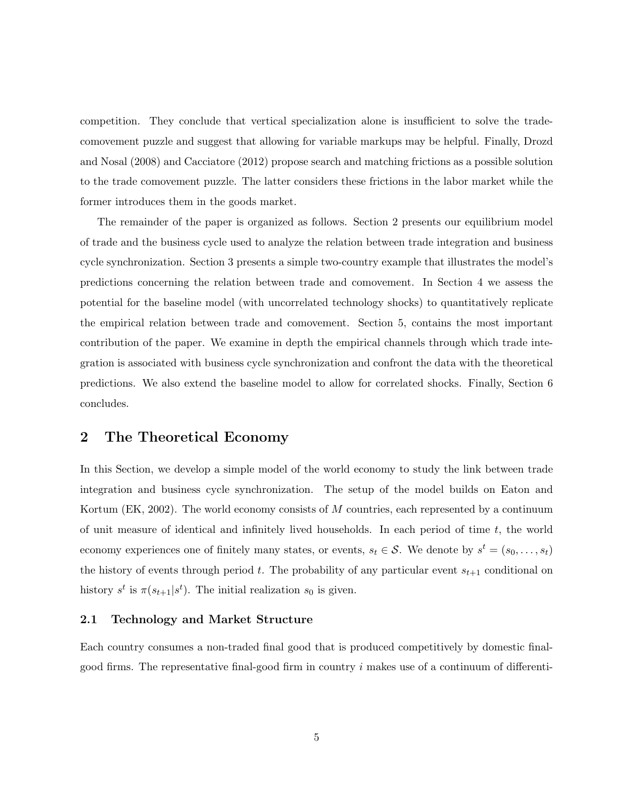competition. They conclude that vertical specialization alone is insufficient to solve the tradecomovement puzzle and suggest that allowing for variable markups may be helpful. Finally, Drozd and Nosal (2008) and Cacciatore (2012) propose search and matching frictions as a possible solution to the trade comovement puzzle. The latter considers these frictions in the labor market while the former introduces them in the goods market.

The remainder of the paper is organized as follows. Section 2 presents our equilibrium model of trade and the business cycle used to analyze the relation between trade integration and business cycle synchronization. Section 3 presents a simple two-country example that illustrates the model's predictions concerning the relation between trade and comovement. In Section 4 we assess the potential for the baseline model (with uncorrelated technology shocks) to quantitatively replicate the empirical relation between trade and comovement. Section 5, contains the most important contribution of the paper. We examine in depth the empirical channels through which trade integration is associated with business cycle synchronization and confront the data with the theoretical predictions. We also extend the baseline model to allow for correlated shocks. Finally, Section 6 concludes.

## 2 The Theoretical Economy

In this Section, we develop a simple model of the world economy to study the link between trade integration and business cycle synchronization. The setup of the model builds on Eaton and Kortum (EK, 2002). The world economy consists of M countries, each represented by a continuum of unit measure of identical and infinitely lived households. In each period of time  $t$ , the world economy experiences one of finitely many states, or events,  $s_t \in S$ . We denote by  $s^t = (s_0, \ldots, s_t)$ the history of events through period t. The probability of any particular event  $s_{t+1}$  conditional on history  $s^t$  is  $\pi(s_{t+1}|s^t)$ . The initial realization  $s_0$  is given.

#### 2.1 Technology and Market Structure

Each country consumes a non-traded final good that is produced competitively by domestic finalgood firms. The representative final-good firm in country i makes use of a continuum of differenti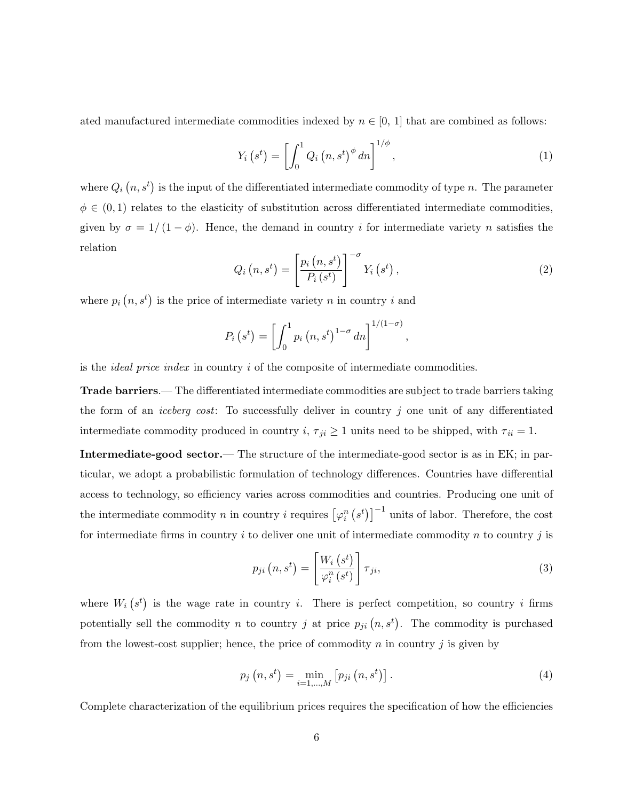ated manufactured intermediate commodities indexed by  $n \in [0, 1]$  that are combined as follows:

$$
Y_{i}(s^{t}) = \left[\int_{0}^{1} Q_{i}(n, s^{t})^{\phi} dn\right]^{1/\phi}, \qquad (1)
$$

where  $Q_i(n, s^t)$  is the input of the differentiated intermediate commodity of type n. The parameter  $\phi \in (0,1)$  relates to the elasticity of substitution across differentiated intermediate commodities, given by  $\sigma = 1/(1 - \phi)$ . Hence, the demand in country i for intermediate variety n satisfies the relation

$$
Q_i\left(n, s^t\right) = \left[\frac{p_i\left(n, s^t\right)}{P_i\left(s^t\right)}\right]^{-\sigma} Y_i\left(s^t\right),\tag{2}
$$

,

where  $p_i(n, s^t)$  is the price of intermediate variety n in country i and

$$
P_i\left(s^t\right) = \left[\int_0^1 p_i\left(n, s^t\right)^{1-\sigma} dn\right]^{1/(1-\sigma)}
$$

is the *ideal price index* in country  $i$  of the composite of intermediate commodities.

Trade barriers.— The differentiated intermediate commodities are subject to trade barriers taking the form of an *iceberg cost*: To successfully deliver in country  $j$  one unit of any differentiated intermediate commodity produced in country  $i, \tau_{ji} \geq 1$  units need to be shipped, with  $\tau_{ii} = 1$ .

Intermediate-good sector.— The structure of the intermediate-good sector is as in EK; in particular, we adopt a probabilistic formulation of technology differences. Countries have differential access to technology, so efficiency varies across commodities and countries. Producing one unit of the intermediate commodity n in country i requires  $[\varphi_i^n(s^t)]^{-1}$  units of labor. Therefore, the cost for intermediate firms in country  $i$  to deliver one unit of intermediate commodity  $n$  to country  $j$  is

$$
p_{ji}\left(n, s^t\right) = \left[\frac{W_i\left(s^t\right)}{\varphi_i^n\left(s^t\right)}\right] \tau_{ji},\tag{3}
$$

where  $W_i(s^t)$  is the wage rate in country i. There is perfect competition, so country i firms potentially sell the commodity n to country j at price  $p_{ji}(n, s^t)$ . The commodity is purchased from the lowest-cost supplier; hence, the price of commodity  $n$  in country  $j$  is given by

$$
p_j(n, s^t) = \min_{i=1,\dots,M} [p_{ji}(n, s^t)].
$$
\n(4)

Complete characterization of the equilibrium prices requires the specification of how the efficiencies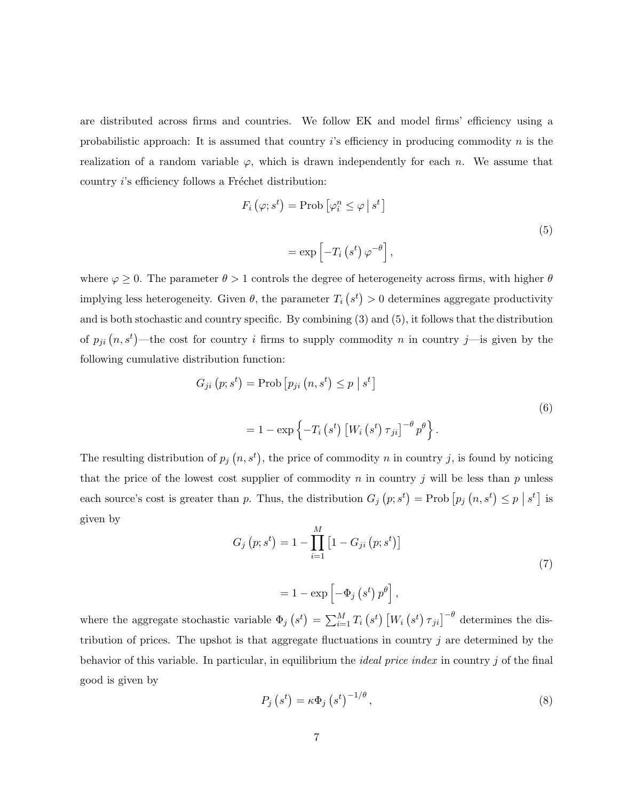are distributed across firms and countries. We follow EK and model firms' efficiency using a probabilistic approach: It is assumed that country  $i$ 's efficiency in producing commodity  $n$  is the realization of a random variable  $\varphi$ , which is drawn independently for each n. We assume that country  $i$ 's efficiency follows a Fréchet distribution:

$$
F_i(\varphi; s^t) = \text{Prob}\left[\varphi_i^n \le \varphi \,|\, s^t\right]
$$
\n
$$
= \exp\left[-T_i\left(s^t\right)\varphi^{-\theta}\right],
$$
\n(5)

where  $\varphi \geq 0$ . The parameter  $\theta > 1$  controls the degree of heterogeneity across firms, with higher  $\theta$ implying less heterogeneity. Given  $\theta$ , the parameter  $T_i$   $(s^t) > 0$  determines aggregate productivity and is both stochastic and country specific. By combining (3) and (5), it follows that the distribution of  $p_{ji}(n, s<sup>t</sup>)$ —the cost for country i firms to supply commodity n in country j—is given by the following cumulative distribution function:

$$
G_{ji}(p; s^t) = \text{Prob}\left[p_{ji}(n, s^t) \le p \mid s^t\right]
$$
  

$$
= 1 - \exp\left\{-T_i\left(s^t\right)\left[W_i\left(s^t\right)\tau_{ji}\right]^{-\theta}p^{\theta}\right\}. \tag{6}
$$

The resulting distribution of  $p_j(n, s^t)$ , the price of commodity n in country j, is found by noticing that the price of the lowest cost supplier of commodity n in country j will be less than  $p$  unless each source's cost is greater than p. Thus, the distribution  $G_j(p; s^t) = \text{Prob}\left[p_j(n, s^t) \leq p \mid s^t\right]$  is given by

$$
G_{j}(p; s^{t}) = 1 - \prod_{i=1}^{M} [1 - G_{ji}(p; s^{t})]
$$
  
= 1 - exp  $\left[ -\Phi_{j}(s^{t}) p^{\theta} \right]$ , (7)

where the aggregate stochastic variable  $\Phi_j(s^t) = \sum_{i=1}^M T_i(s^t) \left[ W_i(s^t) \tau_{ji} \right]^{-\theta}$  determines the distribution of prices. The upshot is that aggregate fluctuations in country  $j$  are determined by the behavior of this variable. In particular, in equilibrium the ideal price index in country j of the final good is given by

$$
P_j\left(s^t\right) = \kappa \Phi_j\left(s^t\right)^{-1/\theta},\tag{8}
$$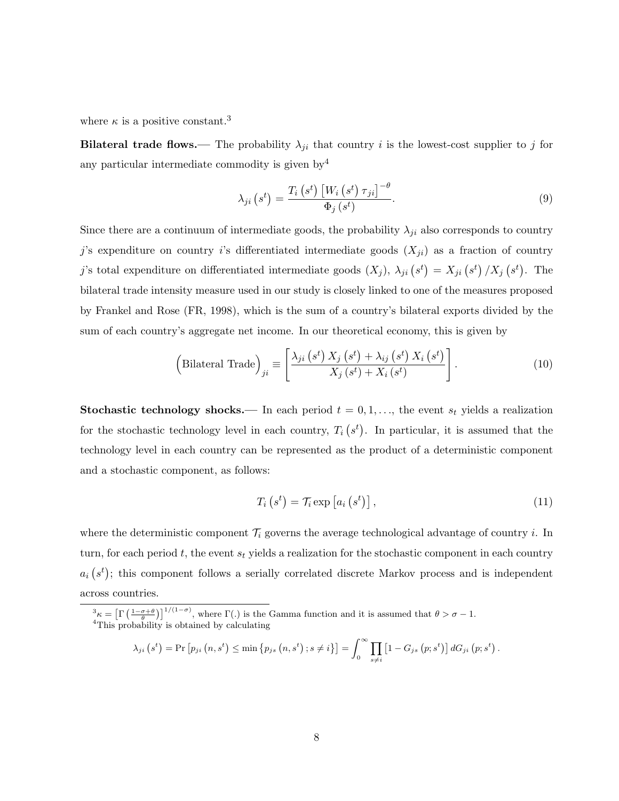where  $\kappa$  is a positive constant.<sup>3</sup>

**Bilateral trade flows.**— The probability  $\lambda_{ji}$  that country i is the lowest-cost supplier to j for any particular intermediate commodity is given by  $4$ 

$$
\lambda_{ji}\left(s^{t}\right) = \frac{T_{i}\left(s^{t}\right)\left[W_{i}\left(s^{t}\right)\tau_{ji}\right]^{-\theta}}{\Phi_{j}\left(s^{t}\right)}.\tag{9}
$$

Since there are a continuum of intermediate goods, the probability  $\lambda_{ji}$  also corresponds to country j's expenditure on country i's differentiated intermediate goods  $(X_{ji})$  as a fraction of country j's total expenditure on differentiated intermediate goods  $(X_j)$ ,  $\lambda_{ji}(s^t) = X_{ji}(s^t)/X_j(s^t)$ . The bilateral trade intensity measure used in our study is closely linked to one of the measures proposed by Frankel and Rose (FR, 1998), which is the sum of a country's bilateral exports divided by the sum of each country's aggregate net income. In our theoretical economy, this is given by

$$
\left(\text{Bilateral Trade}\right)_{ji} \equiv \left[\frac{\lambda_{ji}\left(s^{t}\right)X_{j}\left(s^{t}\right) + \lambda_{ij}\left(s^{t}\right)X_{i}\left(s^{t}\right)}{X_{j}\left(s^{t}\right) + X_{i}\left(s^{t}\right)}\right].\tag{10}
$$

**Stochastic technology shocks.**— In each period  $t = 0, 1, \ldots$ , the event  $s_t$  yields a realization for the stochastic technology level in each country,  $T_i(s^t)$ . In particular, it is assumed that the technology level in each country can be represented as the product of a deterministic component and a stochastic component, as follows:

$$
T_i\left(s^t\right) = \mathcal{T}_i \exp\left[a_i\left(s^t\right)\right],\tag{11}
$$

where the deterministic component  $\mathcal{T}_i$  governs the average technological advantage of country i. In turn, for each period t, the event  $s_t$  yields a realization for the stochastic component in each country  $a_i(s^t)$ ; this component follows a serially correlated discrete Markov process and is independent across countries.

 $\mathcal{L}^3 \kappa = \left[ \Gamma \left( \frac{1-\sigma+\theta}{\theta} \right) \right]^{1/(1-\sigma)}$ , where  $\Gamma(.)$  is the Gamma function and it is assumed that  $\theta > \sigma - 1$ . <sup>4</sup>This probability is obtained by calculating

$$
\lambda_{ji} (s^t) = \Pr [p_{ji} (n, s^t) \leq \min \{p_{js} (n, s^t) ; s \neq i\}] = \int_0^\infty \prod_{s \neq i} [1 - G_{js} (p; s^t)] dG_{ji} (p; s^t) .
$$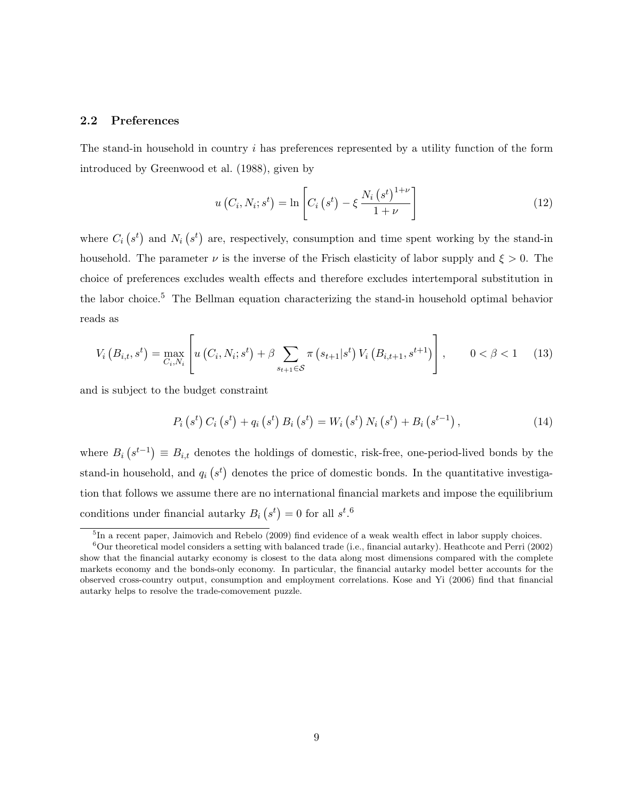#### 2.2 Preferences

The stand-in household in country  $i$  has preferences represented by a utility function of the form introduced by Greenwood et al. (1988), given by

$$
u(C_i, N_i; s^t) = \ln \left[ C_i (s^t) - \xi \frac{N_i (s^t)^{1+\nu}}{1+\nu} \right]
$$
 (12)

where  $C_i$   $(s^t)$  and  $N_i$   $(s^t)$  are, respectively, consumption and time spent working by the stand-in household. The parameter  $\nu$  is the inverse of the Frisch elasticity of labor supply and  $\xi > 0$ . The choice of preferences excludes wealth effects and therefore excludes intertemporal substitution in the labor choice.<sup>5</sup> The Bellman equation characterizing the stand-in household optimal behavior reads as

$$
V_{i}\left(B_{i,t}, s^{t}\right) = \max_{C_{i}, N_{i}} \left[ u\left(C_{i}, N_{i}; s^{t}\right) + \beta \sum_{s_{t+1} \in \mathcal{S}} \pi\left(s_{t+1} | s^{t}\right) V_{i}\left(B_{i,t+1}, s^{t+1}\right) \right], \qquad 0 < \beta < 1 \tag{13}
$$

and is subject to the budget constraint

$$
P_i\left(s^t\right)C_i\left(s^t\right) + q_i\left(s^t\right)B_i\left(s^t\right) = W_i\left(s^t\right)N_i\left(s^t\right) + B_i\left(s^{t-1}\right),\tag{14}
$$

where  $B_i(s^{t-1}) \equiv B_{i,t}$  denotes the holdings of domestic, risk-free, one-period-lived bonds by the stand-in household, and  $q_i$   $(s<sup>t</sup>)$  denotes the price of domestic bonds. In the quantitative investigation that follows we assume there are no international financial markets and impose the equilibrium conditions under financial autarky  $B_i(s^t) = 0$  for all  $s^t$ <sup>6</sup>

<sup>&</sup>lt;sup>5</sup>In a recent paper, Jaimovich and Rebelo (2009) find evidence of a weak wealth effect in labor supply choices.

 $6$ Our theoretical model considers a setting with balanced trade (i.e., financial autarky). Heathcote and Perri (2002) show that the financial autarky economy is closest to the data along most dimensions compared with the complete markets economy and the bonds-only economy. In particular, the financial autarky model better accounts for the observed cross-country output, consumption and employment correlations. Kose and Yi (2006) find that financial autarky helps to resolve the trade-comovement puzzle.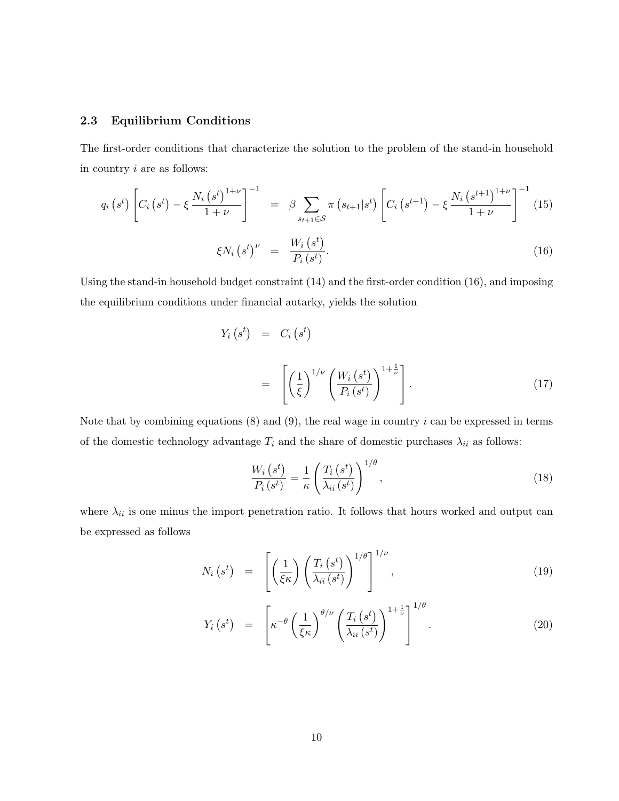#### 2.3 Equilibrium Conditions

The first-order conditions that characterize the solution to the problem of the stand-in household in country  $i$  are as follows:

$$
q_i(s^t) \left[ C_i(s^t) - \xi \frac{N_i(s^t)^{1+\nu}}{1+\nu} \right]^{-1} = \beta \sum_{s_{t+1} \in \mathcal{S}} \pi (s_{t+1}|s^t) \left[ C_i(s^{t+1}) - \xi \frac{N_i(s^{t+1})^{1+\nu}}{1+\nu} \right]^{-1} (15)
$$

$$
\xi N_i(s^t) = \frac{W_i(s^t)}{P_i(s^t)}.
$$

Using the stand-in household budget constraint (14) and the first-order condition (16), and imposing the equilibrium conditions under financial autarky, yields the solution

$$
Y_i(s^t) = C_i(s^t)
$$
  
= 
$$
\left[ \left( \frac{1}{\xi} \right)^{1/\nu} \left( \frac{W_i(s^t)}{P_i(s^t)} \right)^{1 + \frac{1}{\nu}} \right].
$$
 (17)

Note that by combining equations  $(8)$  and  $(9)$ , the real wage in country i can be expressed in terms of the domestic technology advantage  $T_i$  and the share of domestic purchases  $\lambda_{ii}$  as follows:

$$
\frac{W_i\left(s^t\right)}{P_i\left(s^t\right)} = \frac{1}{\kappa} \left(\frac{T_i\left(s^t\right)}{\lambda_{ii}\left(s^t\right)}\right)^{1/\theta},\tag{18}
$$

where  $\lambda_{ii}$  is one minus the import penetration ratio. It follows that hours worked and output can be expressed as follows

$$
N_i\left(s^t\right) = \left[ \left(\frac{1}{\xi \kappa}\right) \left(\frac{T_i\left(s^t\right)}{\lambda_{ii}\left(s^t\right)}\right)^{1/\theta} \right]^{1/\nu},\tag{19}
$$

$$
Y_i\left(s^t\right) = \left[\kappa^{-\theta}\left(\frac{1}{\xi\kappa}\right)^{\theta/\nu}\left(\frac{T_i\left(s^t\right)}{\lambda_{ii}\left(s^t\right)}\right)^{1+\frac{1}{\nu}}\right]^{1/\theta}.\tag{20}
$$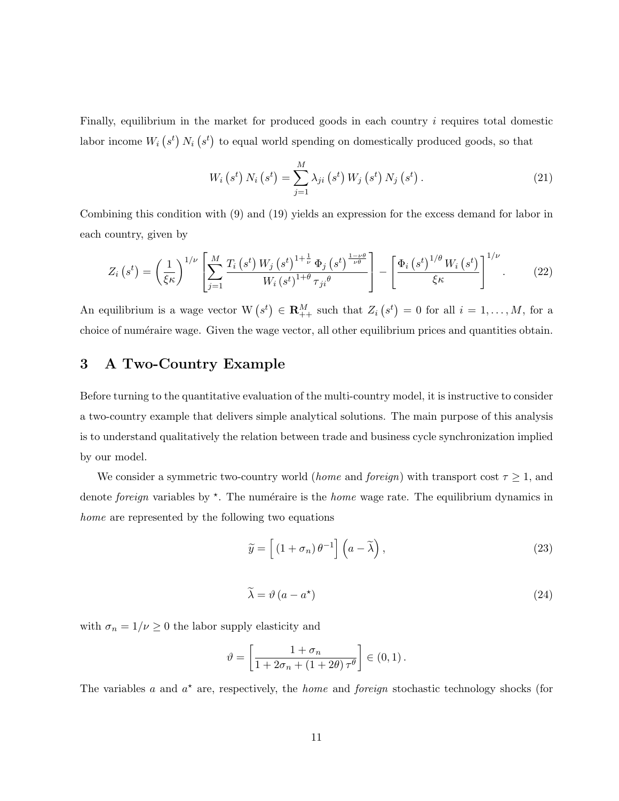Finally, equilibrium in the market for produced goods in each country  $i$  requires total domestic labor income  $W_i(s^t) N_i(s^t)$  to equal world spending on domestically produced goods, so that

$$
W_{i}\left(s^{t}\right)N_{i}\left(s^{t}\right)=\sum_{j=1}^{M}\lambda_{ji}\left(s^{t}\right)W_{j}\left(s^{t}\right)N_{j}\left(s^{t}\right).
$$
\n(21)

Combining this condition with (9) and (19) yields an expression for the excess demand for labor in each country, given by

$$
Z_{i}\left(s^{t}\right) = \left(\frac{1}{\xi\kappa}\right)^{1/\nu} \left[\sum_{j=1}^{M} \frac{T_{i}\left(s^{t}\right)W_{j}\left(s^{t}\right)^{1+\frac{1}{\nu}}\Phi_{j}\left(s^{t}\right)^{\frac{1-\nu\theta}{\nu\theta}}}{W_{i}\left(s^{t}\right)^{1+\theta}\tau_{ji}^{\theta}}\right] - \left[\frac{\Phi_{i}\left(s^{t}\right)^{1/\theta}W_{i}\left(s^{t}\right)}{\xi\kappa}\right]^{1/\nu}.
$$
 (22)

An equilibrium is a wage vector  $W(s^t) \in \mathbf{R}_{++}^M$  such that  $Z_i(s^t) = 0$  for all  $i = 1, ..., M$ , for a choice of numéraire wage. Given the wage vector, all other equilibrium prices and quantities obtain.

# 3 A Two-Country Example

Before turning to the quantitative evaluation of the multi-country model, it is instructive to consider a two-country example that delivers simple analytical solutions. The main purpose of this analysis is to understand qualitatively the relation between trade and business cycle synchronization implied by our model.

We consider a symmetric two-country world (*home and foreign*) with transport cost  $\tau \geq 1$ , and denote *foreign* variables by  $*$ . The numéraire is the *home* wage rate. The equilibrium dynamics in home are represented by the following two equations

$$
\widetilde{y} = \left[ (1 + \sigma_n) \theta^{-1} \right] \left( a - \widetilde{\lambda} \right), \tag{23}
$$

$$
\widetilde{\lambda} = \vartheta \left( a - a^* \right) \tag{24}
$$

with  $\sigma_n = 1/\nu \geq 0$  the labor supply elasticity and

$$
\vartheta = \left[ \frac{1 + \sigma_n}{1 + 2\sigma_n + (1 + 2\theta) \tau^{\theta}} \right] \in (0, 1).
$$

The variables  $a$  and  $a^*$  are, respectively, the *home* and *foreign* stochastic technology shocks (for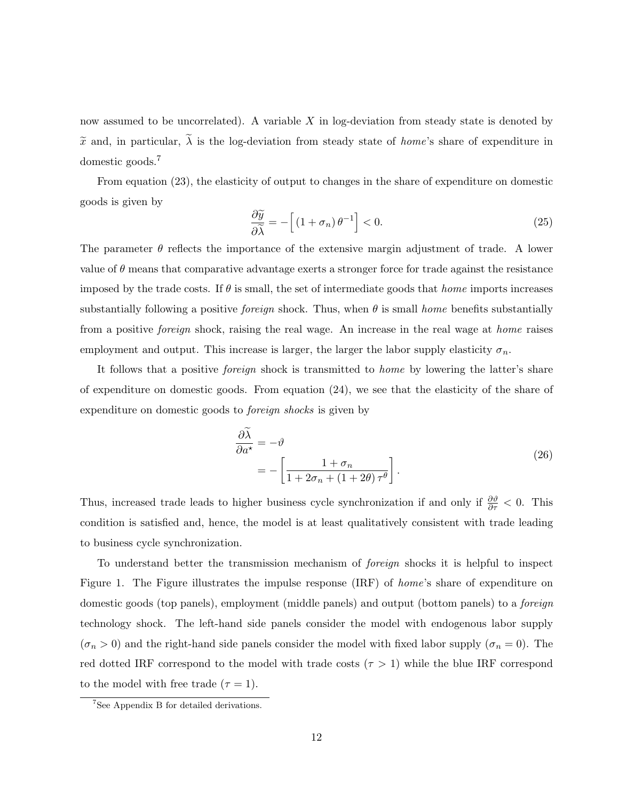now assumed to be uncorrelated). A variable  $X$  in log-deviation from steady state is denoted by  $\tilde{x}$  and, in particular,  $\tilde{\lambda}$  is the log-deviation from steady state of *home's* share of expenditure in domestic goods.<sup>7</sup>

From equation (23), the elasticity of output to changes in the share of expenditure on domestic goods is given by

$$
\frac{\partial \widetilde{y}}{\partial \widetilde{\lambda}} = -\left[ (1 + \sigma_n) \theta^{-1} \right] < 0. \tag{25}
$$

The parameter  $\theta$  reflects the importance of the extensive margin adjustment of trade. A lower value of  $\theta$  means that comparative advantage exerts a stronger force for trade against the resistance imposed by the trade costs. If  $\theta$  is small, the set of intermediate goods that *home* imports increases substantially following a positive *foreign* shock. Thus, when  $\theta$  is small home benefits substantially from a positive *foreign* shock, raising the real wage. An increase in the real wage at *home* raises employment and output. This increase is larger, the larger the labor supply elasticity  $\sigma_n$ .

It follows that a positive *foreign* shock is transmitted to *home* by lowering the latter's share of expenditure on domestic goods. From equation (24), we see that the elasticity of the share of expenditure on domestic goods to foreign shocks is given by

$$
\frac{\partial \widetilde{\lambda}}{\partial a^*} = -\vartheta
$$
  
= 
$$
- \left[ \frac{1 + \sigma_n}{1 + 2\sigma_n + (1 + 2\theta)\tau^{\theta}} \right].
$$
 (26)

Thus, increased trade leads to higher business cycle synchronization if and only if  $\frac{\partial \vartheta}{\partial \tau} < 0$ . This condition is satisfied and, hence, the model is at least qualitatively consistent with trade leading to business cycle synchronization.

To understand better the transmission mechanism of foreign shocks it is helpful to inspect Figure 1. The Figure illustrates the impulse response (IRF) of *home*'s share of expenditure on domestic goods (top panels), employment (middle panels) and output (bottom panels) to a *foreign* technology shock. The left-hand side panels consider the model with endogenous labor supply  $(\sigma_n > 0)$  and the right-hand side panels consider the model with fixed labor supply  $(\sigma_n = 0)$ . The red dotted IRF correspond to the model with trade costs ( $\tau > 1$ ) while the blue IRF correspond to the model with free trade  $(\tau = 1)$ .

<sup>&</sup>lt;sup>7</sup>See Appendix B for detailed derivations.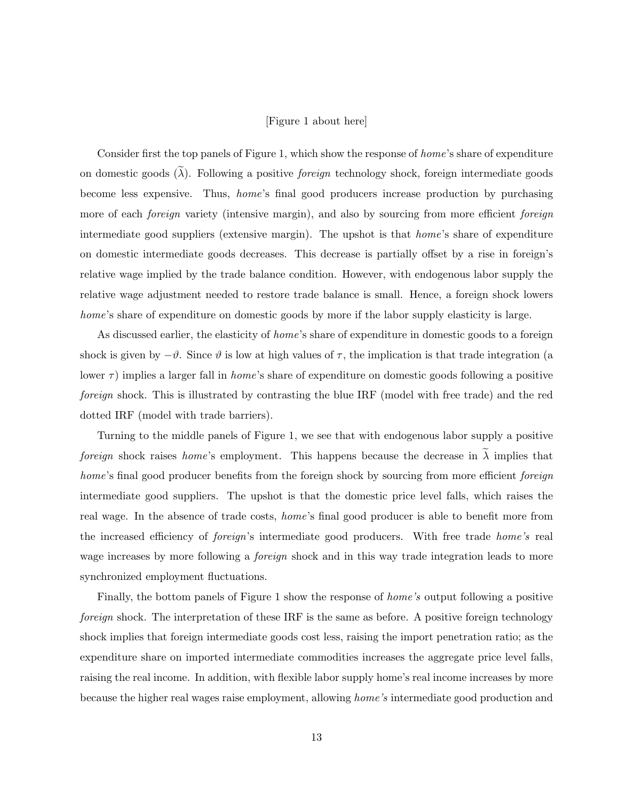#### [Figure 1 about here]

Consider first the top panels of Figure 1, which show the response of *home's* share of expenditure on domestic goods  $(\tilde{\lambda})$ . Following a positive *foreign* technology shock, foreign intermediate goods become less expensive. Thus, home's final good producers increase production by purchasing more of each *foreign* variety (intensive margin), and also by sourcing from more efficient *foreign* intermediate good suppliers (extensive margin). The upshot is that home's share of expenditure on domestic intermediate goods decreases. This decrease is partially offset by a rise in foreign's relative wage implied by the trade balance condition. However, with endogenous labor supply the relative wage adjustment needed to restore trade balance is small. Hence, a foreign shock lowers home's share of expenditure on domestic goods by more if the labor supply elasticity is large.

As discussed earlier, the elasticity of *home*'s share of expenditure in domestic goods to a foreign shock is given by  $-\vartheta$ . Since  $\vartheta$  is low at high values of  $\tau$ , the implication is that trade integration (a lower  $\tau$ ) implies a larger fall in *home's* share of expenditure on domestic goods following a positive foreign shock. This is illustrated by contrasting the blue IRF (model with free trade) and the red dotted IRF (model with trade barriers).

Turning to the middle panels of Figure 1, we see that with endogenous labor supply a positive *foreign* shock raises *home*'s employment. This happens because the decrease in  $\lambda$  implies that home's final good producer benefits from the foreign shock by sourcing from more efficient *foreign* intermediate good suppliers. The upshot is that the domestic price level falls, which raises the real wage. In the absence of trade costs, home's final good producer is able to benefit more from the increased efficiency of *foreign*'s intermediate good producers. With free trade *home's* real wage increases by more following a *foreign* shock and in this way trade integration leads to more synchronized employment fluctuations.

Finally, the bottom panels of Figure 1 show the response of *home's* output following a positive foreign shock. The interpretation of these IRF is the same as before. A positive foreign technology shock implies that foreign intermediate goods cost less, raising the import penetration ratio; as the expenditure share on imported intermediate commodities increases the aggregate price level falls, raising the real income. In addition, with flexible labor supply home's real income increases by more because the higher real wages raise employment, allowing home's intermediate good production and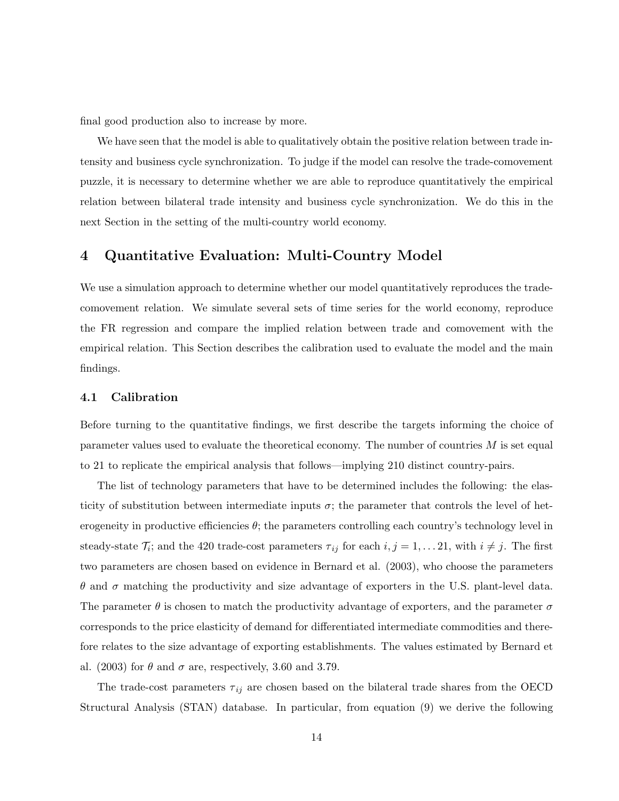final good production also to increase by more.

We have seen that the model is able to qualitatively obtain the positive relation between trade intensity and business cycle synchronization. To judge if the model can resolve the trade-comovement puzzle, it is necessary to determine whether we are able to reproduce quantitatively the empirical relation between bilateral trade intensity and business cycle synchronization. We do this in the next Section in the setting of the multi-country world economy.

## 4 Quantitative Evaluation: Multi-Country Model

We use a simulation approach to determine whether our model quantitatively reproduces the tradecomovement relation. We simulate several sets of time series for the world economy, reproduce the FR regression and compare the implied relation between trade and comovement with the empirical relation. This Section describes the calibration used to evaluate the model and the main findings.

#### 4.1 Calibration

Before turning to the quantitative findings, we first describe the targets informing the choice of parameter values used to evaluate the theoretical economy. The number of countries M is set equal to 21 to replicate the empirical analysis that follows—implying 210 distinct country-pairs.

The list of technology parameters that have to be determined includes the following: the elasticity of substitution between intermediate inputs  $\sigma$ ; the parameter that controls the level of heterogeneity in productive efficiencies  $\theta$ ; the parameters controlling each country's technology level in steady-state  $\mathcal{T}_i$ ; and the 420 trade-cost parameters  $\tau_{ij}$  for each  $i, j = 1, \ldots 21$ , with  $i \neq j$ . The first two parameters are chosen based on evidence in Bernard et al. (2003), who choose the parameters θ and σ matching the productivity and size advantage of exporters in the U.S. plant-level data. The parameter  $\theta$  is chosen to match the productivity advantage of exporters, and the parameter  $\sigma$ corresponds to the price elasticity of demand for differentiated intermediate commodities and therefore relates to the size advantage of exporting establishments. The values estimated by Bernard et al. (2003) for  $\theta$  and  $\sigma$  are, respectively, 3.60 and 3.79.

The trade-cost parameters  $\tau_{ij}$  are chosen based on the bilateral trade shares from the OECD Structural Analysis (STAN) database. In particular, from equation (9) we derive the following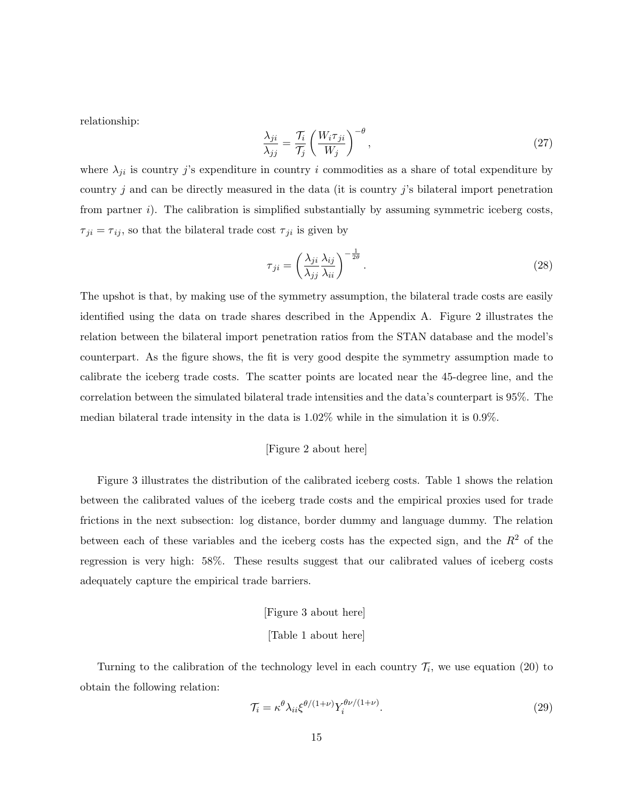relationship:

$$
\frac{\lambda_{ji}}{\lambda_{jj}} = \frac{\mathcal{T}_i}{\mathcal{T}_j} \left( \frac{W_i \tau_{ji}}{W_j} \right)^{-\theta},\tag{27}
$$

where  $\lambda_{ji}$  is country j's expenditure in country i commodities as a share of total expenditure by country  $j$  and can be directly measured in the data (it is country  $j$ 's bilateral import penetration from partner  $i$ ). The calibration is simplified substantially by assuming symmetric iceberg costs,  $\tau_{ji} = \tau_{ij}$ , so that the bilateral trade cost  $\tau_{ji}$  is given by

$$
\tau_{ji} = \left(\frac{\lambda_{ji}}{\lambda_{jj}} \frac{\lambda_{ij}}{\lambda_{ii}}\right)^{-\frac{1}{2\theta}}.
$$
\n(28)

The upshot is that, by making use of the symmetry assumption, the bilateral trade costs are easily identified using the data on trade shares described in the Appendix A. Figure 2 illustrates the relation between the bilateral import penetration ratios from the STAN database and the model's counterpart. As the figure shows, the fit is very good despite the symmetry assumption made to calibrate the iceberg trade costs. The scatter points are located near the 45-degree line, and the correlation between the simulated bilateral trade intensities and the data's counterpart is 95%. The median bilateral trade intensity in the data is 1.02% while in the simulation it is 0.9%.

#### [Figure 2 about here]

Figure 3 illustrates the distribution of the calibrated iceberg costs. Table 1 shows the relation between the calibrated values of the iceberg trade costs and the empirical proxies used for trade frictions in the next subsection: log distance, border dummy and language dummy. The relation between each of these variables and the iceberg costs has the expected sign, and the  $R<sup>2</sup>$  of the regression is very high: 58%. These results suggest that our calibrated values of iceberg costs adequately capture the empirical trade barriers.

## [Figure 3 about here]

#### [Table 1 about here]

Turning to the calibration of the technology level in each country  $\mathcal{T}_i$ , we use equation (20) to obtain the following relation:

$$
\mathcal{T}_i = \kappa^\theta \lambda_{ii} \xi^{\theta/(1+\nu)} Y_i^{\theta \nu/(1+\nu)}.
$$
\n(29)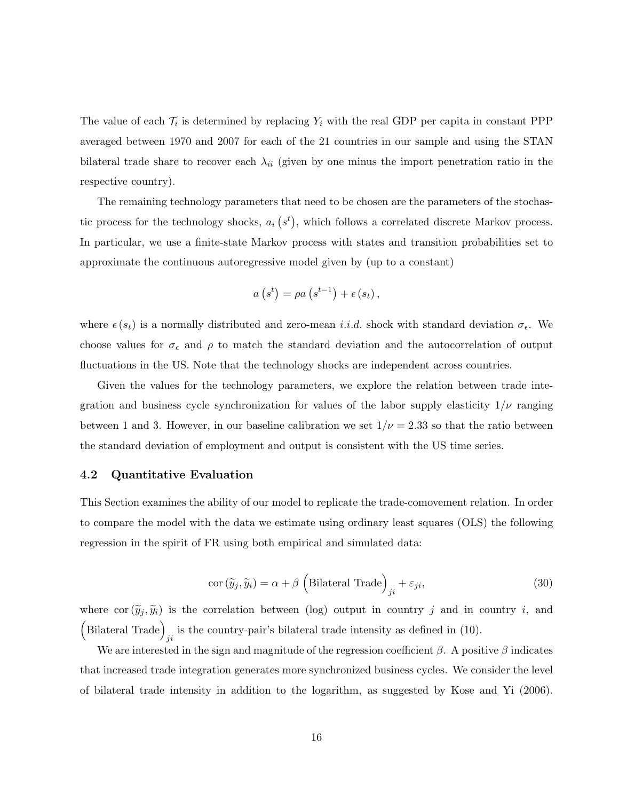The value of each  $\mathcal{T}_i$  is determined by replacing  $Y_i$  with the real GDP per capita in constant PPP averaged between 1970 and 2007 for each of the 21 countries in our sample and using the STAN bilateral trade share to recover each  $\lambda_{ii}$  (given by one minus the import penetration ratio in the respective country).

The remaining technology parameters that need to be chosen are the parameters of the stochastic process for the technology shocks,  $a_i(s^t)$ , which follows a correlated discrete Markov process. In particular, we use a finite-state Markov process with states and transition probabilities set to approximate the continuous autoregressive model given by (up to a constant)

$$
a(s^t) = \rho a(s^{t-1}) + \epsilon (s_t),
$$

where  $\epsilon(s_t)$  is a normally distributed and zero-mean i.i.d. shock with standard deviation  $\sigma_{\epsilon}$ . We choose values for  $\sigma_{\epsilon}$  and  $\rho$  to match the standard deviation and the autocorrelation of output fluctuations in the US. Note that the technology shocks are independent across countries.

Given the values for the technology parameters, we explore the relation between trade integration and business cycle synchronization for values of the labor supply elasticity  $1/\nu$  ranging between 1 and 3. However, in our baseline calibration we set  $1/\nu = 2.33$  so that the ratio between the standard deviation of employment and output is consistent with the US time series.

#### 4.2 Quantitative Evaluation

This Section examines the ability of our model to replicate the trade-comovement relation. In order to compare the model with the data we estimate using ordinary least squares (OLS) the following regression in the spirit of FR using both empirical and simulated data:

$$
\operatorname{cor}(\widetilde{y}_j, \widetilde{y}_i) = \alpha + \beta \left(\text{Bilateral Trade}\right)_{ji} + \varepsilon_{ji},\tag{30}
$$

where cor  $(\widetilde{y}_j, \widetilde{y}_i)$  is the correlation between (log) output in country j and in country i, and (Bilateral Trade)<sub>ji</sub> is the country-pair's bilateral trade intensity as defined in (10).

We are interested in the sign and magnitude of the regression coefficient  $\beta$ . A positive  $\beta$  indicates that increased trade integration generates more synchronized business cycles. We consider the level of bilateral trade intensity in addition to the logarithm, as suggested by Kose and Yi (2006).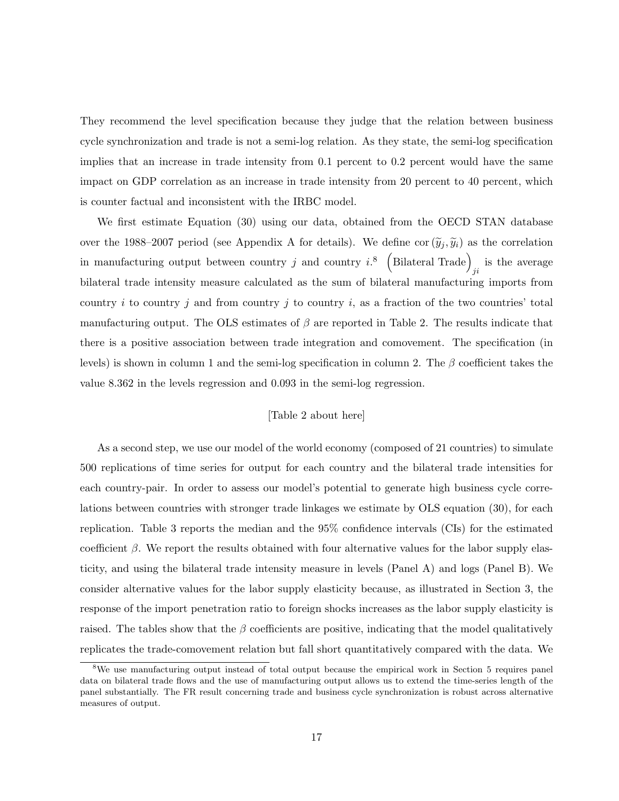They recommend the level specification because they judge that the relation between business cycle synchronization and trade is not a semi-log relation. As they state, the semi-log specification implies that an increase in trade intensity from 0.1 percent to 0.2 percent would have the same impact on GDP correlation as an increase in trade intensity from 20 percent to 40 percent, which is counter factual and inconsistent with the IRBC model.

We first estimate Equation (30) using our data, obtained from the OECD STAN database over the 1988–2007 period (see Appendix A for details). We define cor  $(\tilde{y}_j, \tilde{y}_i)$  as the correlation in manufacturing output between country j and country  $i$ <sup>8</sup> (Bilateral Trade)<sub>ji</sub> is the average bilateral trade intensity measure calculated as the sum of bilateral manufacturing imports from country i to country j and from country j to country i, as a fraction of the two countries' total manufacturing output. The OLS estimates of  $\beta$  are reported in Table 2. The results indicate that there is a positive association between trade integration and comovement. The specification (in levels) is shown in column 1 and the semi-log specification in column 2. The  $\beta$  coefficient takes the value 8.362 in the levels regression and 0.093 in the semi-log regression.

#### [Table 2 about here]

As a second step, we use our model of the world economy (composed of 21 countries) to simulate 500 replications of time series for output for each country and the bilateral trade intensities for each country-pair. In order to assess our model's potential to generate high business cycle correlations between countries with stronger trade linkages we estimate by OLS equation (30), for each replication. Table 3 reports the median and the 95% confidence intervals (CIs) for the estimated coefficient  $\beta$ . We report the results obtained with four alternative values for the labor supply elasticity, and using the bilateral trade intensity measure in levels (Panel A) and logs (Panel B). We consider alternative values for the labor supply elasticity because, as illustrated in Section 3, the response of the import penetration ratio to foreign shocks increases as the labor supply elasticity is raised. The tables show that the  $\beta$  coefficients are positive, indicating that the model qualitatively replicates the trade-comovement relation but fall short quantitatively compared with the data. We

<sup>8</sup>We use manufacturing output instead of total output because the empirical work in Section 5 requires panel data on bilateral trade flows and the use of manufacturing output allows us to extend the time-series length of the panel substantially. The FR result concerning trade and business cycle synchronization is robust across alternative measures of output.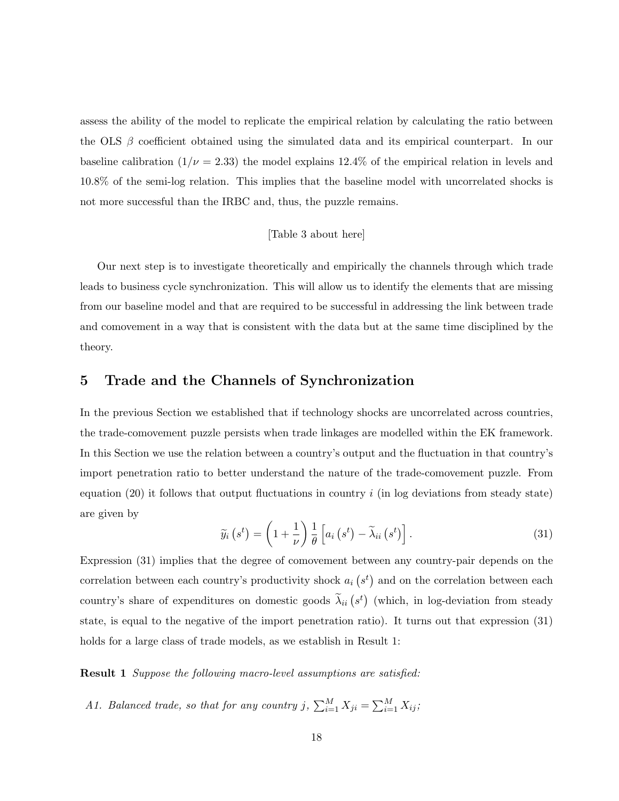assess the ability of the model to replicate the empirical relation by calculating the ratio between the OLS  $\beta$  coefficient obtained using the simulated data and its empirical counterpart. In our baseline calibration  $(1/\nu = 2.33)$  the model explains 12.4% of the empirical relation in levels and 10.8% of the semi-log relation. This implies that the baseline model with uncorrelated shocks is not more successful than the IRBC and, thus, the puzzle remains.

#### [Table 3 about here]

Our next step is to investigate theoretically and empirically the channels through which trade leads to business cycle synchronization. This will allow us to identify the elements that are missing from our baseline model and that are required to be successful in addressing the link between trade and comovement in a way that is consistent with the data but at the same time disciplined by the theory.

## 5 Trade and the Channels of Synchronization

In the previous Section we established that if technology shocks are uncorrelated across countries, the trade-comovement puzzle persists when trade linkages are modelled within the EK framework. In this Section we use the relation between a country's output and the fluctuation in that country's import penetration ratio to better understand the nature of the trade-comovement puzzle. From equation  $(20)$  it follows that output fluctuations in country i (in log deviations from steady state) are given by

$$
\widetilde{y}_{i}\left(s^{t}\right) = \left(1 + \frac{1}{\nu}\right) \frac{1}{\theta} \left[a_{i}\left(s^{t}\right) - \widetilde{\lambda}_{ii}\left(s^{t}\right)\right].
$$
\n(31)

Expression (31) implies that the degree of comovement between any country-pair depends on the correlation between each country's productivity shock  $a_i(s^t)$  and on the correlation between each country's share of expenditures on domestic goods  $\tilde{\lambda}_{ii}$  (s<sup>t</sup>) (which, in log-deviation from steady state, is equal to the negative of the import penetration ratio). It turns out that expression (31) holds for a large class of trade models, as we establish in Result 1:

#### **Result 1** Suppose the following macro-level assumptions are satisfied:

A1. Balanced trade, so that for any country j,  $\sum_{i=1}^{M} X_{ji} = \sum_{i=1}^{M} X_{ij}$ ;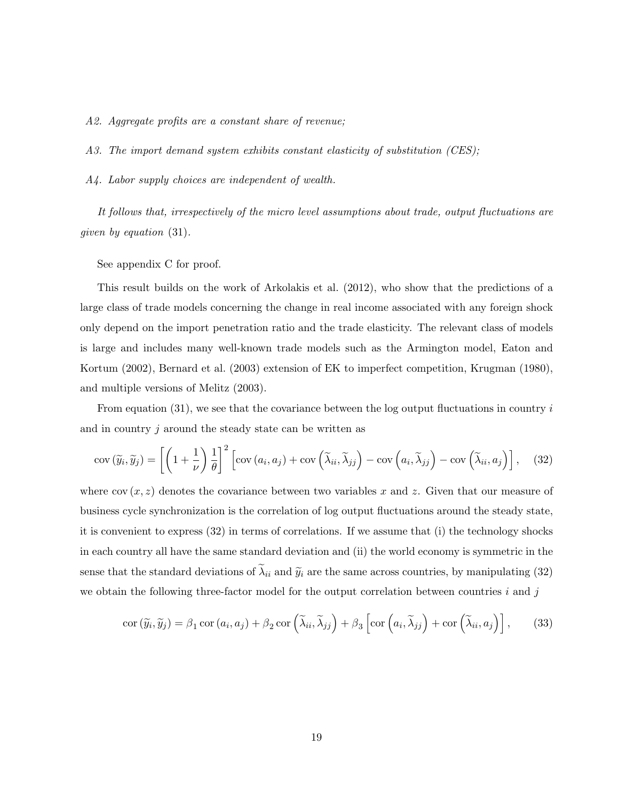A2. Aggregate profits are a constant share of revenue;

A3. The import demand system exhibits constant elasticity of substitution (CES);

A4. Labor supply choices are independent of wealth.

It follows that, irrespectively of the micro level assumptions about trade, output fluctuations are given by equation (31).

See appendix C for proof.

This result builds on the work of Arkolakis et al. (2012), who show that the predictions of a large class of trade models concerning the change in real income associated with any foreign shock only depend on the import penetration ratio and the trade elasticity. The relevant class of models is large and includes many well-known trade models such as the Armington model, Eaton and Kortum (2002), Bernard et al. (2003) extension of EK to imperfect competition, Krugman (1980), and multiple versions of Melitz (2003).

From equation  $(31)$ , we see that the covariance between the log output fluctuations in country i and in country j around the steady state can be written as

$$
cov\left(\widetilde{y}_i, \widetilde{y}_j\right) = \left[ \left(1 + \frac{1}{\nu}\right) \frac{1}{\theta} \right]^2 \left[ cov\left(a_i, a_j\right) + cov\left(\widetilde{\lambda}_{ii}, \widetilde{\lambda}_{jj}\right) - cov\left(a_i, \widetilde{\lambda}_{jj}\right) - cov\left(\widetilde{\lambda}_{ii}, a_j\right) \right], \quad (32)
$$

where  $cov(x, z)$  denotes the covariance between two variables x and z. Given that our measure of business cycle synchronization is the correlation of log output fluctuations around the steady state, it is convenient to express (32) in terms of correlations. If we assume that (i) the technology shocks in each country all have the same standard deviation and (ii) the world economy is symmetric in the sense that the standard deviations of  $\tilde{\lambda}_{ii}$  and  $\tilde{y}_i$  are the same across countries, by manipulating (32) we obtain the following three-factor model for the output correlation between countries  $i$  and  $j$ 

$$
\operatorname{cor}(\widetilde{y}_i, \widetilde{y}_j) = \beta_1 \operatorname{cor}(a_i, a_j) + \beta_2 \operatorname{cor}\left(\widetilde{\lambda}_{ii}, \widetilde{\lambda}_{jj}\right) + \beta_3 \left[\operatorname{cor}\left(a_i, \widetilde{\lambda}_{jj}\right) + \operatorname{cor}\left(\widetilde{\lambda}_{ii}, a_j\right)\right],\tag{33}
$$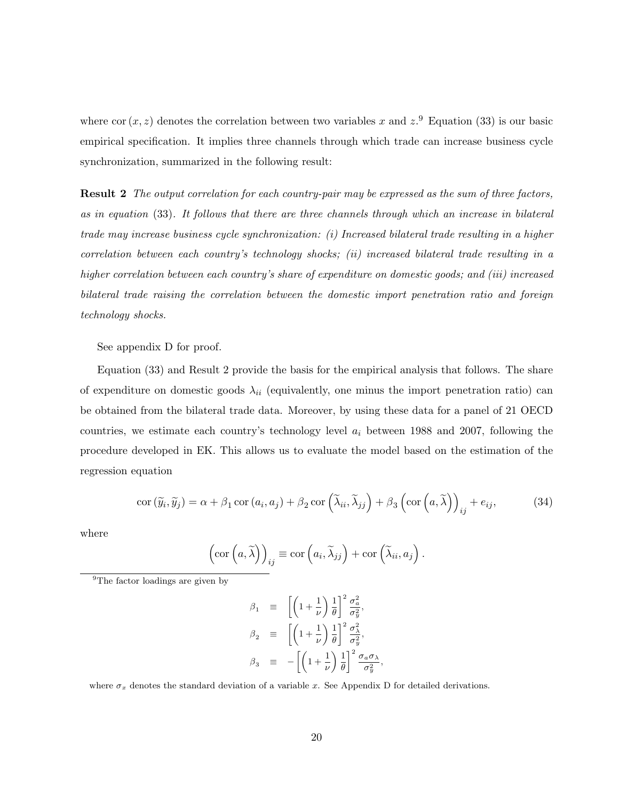where cor  $(x, z)$  denotes the correlation between two variables x and  $z$ .<sup>9</sup> Equation (33) is our basic empirical specification. It implies three channels through which trade can increase business cycle synchronization, summarized in the following result:

**Result 2** The output correlation for each country-pair may be expressed as the sum of three factors, as in equation (33). It follows that there are three channels through which an increase in bilateral trade may increase business cycle synchronization: (i) Increased bilateral trade resulting in a higher correlation between each country's technology shocks; (ii) increased bilateral trade resulting in a higher correlation between each country's share of expenditure on domestic goods; and (iii) increased bilateral trade raising the correlation between the domestic import penetration ratio and foreign technology shocks.

See appendix D for proof.

Equation (33) and Result 2 provide the basis for the empirical analysis that follows. The share of expenditure on domestic goods  $\lambda_{ii}$  (equivalently, one minus the import penetration ratio) can be obtained from the bilateral trade data. Moreover, by using these data for a panel of 21 OECD countries, we estimate each country's technology level  $a_i$  between 1988 and 2007, following the procedure developed in EK. This allows us to evaluate the model based on the estimation of the regression equation

$$
\operatorname{cor}(\widetilde{y}_i, \widetilde{y}_j) = \alpha + \beta_1 \operatorname{cor}(a_i, a_j) + \beta_2 \operatorname{cor}\left(\widetilde{\lambda}_{ii}, \widetilde{\lambda}_{jj}\right) + \beta_3 \left(\operatorname{cor}\left(a, \widetilde{\lambda}\right)\right)_{ij} + e_{ij},\tag{34}
$$

where

$$
\left(\operatorname{cor}\left(a,\widetilde{\lambda}\right)\right)_{ij}\equiv \operatorname{cor}\left(a_i,\widetilde{\lambda}_{jj}\right)+\operatorname{cor}\left(\widetilde{\lambda}_{ii},a_j\right).
$$

<sup>9</sup>The factor loadings are given by

$$
\begin{array}{rcl} \beta_1 & \equiv & \displaystyle \left[ \left( 1 + \frac{1}{\nu} \right) \frac{1}{\theta} \right]^2 \frac{\sigma_a^2}{\sigma_y^2}, \\ \beta_2 & \equiv & \displaystyle \left[ \left( 1 + \frac{1}{\nu} \right) \frac{1}{\theta} \right]^2 \frac{\sigma_\lambda^2}{\sigma_y^2}, \\ \beta_3 & \equiv & \displaystyle - \left[ \left( 1 + \frac{1}{\nu} \right) \frac{1}{\theta} \right]^2 \frac{\sigma_a \sigma_\lambda}{\sigma_y^2}, \end{array}
$$

where  $\sigma_x$  denotes the standard deviation of a variable x. See Appendix D for detailed derivations.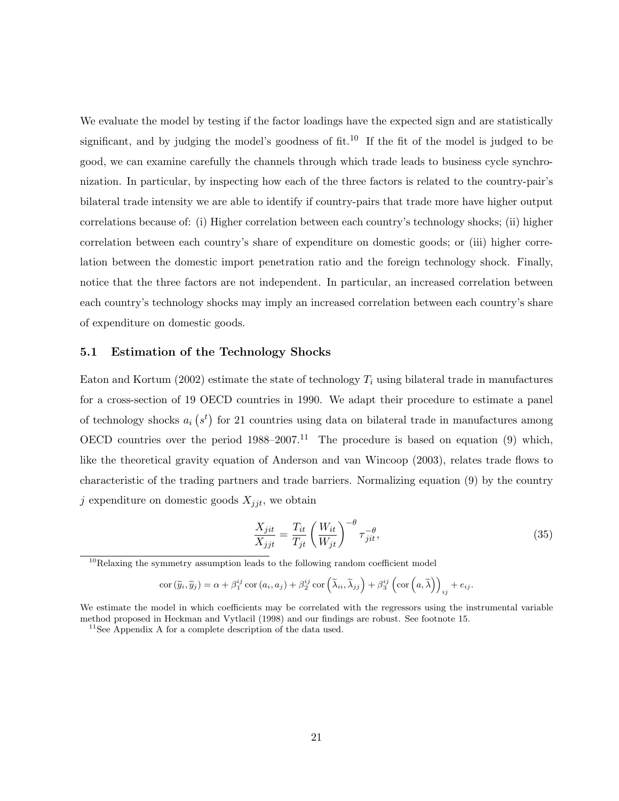We evaluate the model by testing if the factor loadings have the expected sign and are statistically significant, and by judging the model's goodness of fit.<sup>10</sup> If the fit of the model is judged to be good, we can examine carefully the channels through which trade leads to business cycle synchronization. In particular, by inspecting how each of the three factors is related to the country-pair's bilateral trade intensity we are able to identify if country-pairs that trade more have higher output correlations because of: (i) Higher correlation between each country's technology shocks; (ii) higher correlation between each country's share of expenditure on domestic goods; or (iii) higher correlation between the domestic import penetration ratio and the foreign technology shock. Finally, notice that the three factors are not independent. In particular, an increased correlation between each country's technology shocks may imply an increased correlation between each country's share of expenditure on domestic goods.

#### 5.1 Estimation of the Technology Shocks

Eaton and Kortum (2002) estimate the state of technology  $T_i$  using bilateral trade in manufactures for a cross-section of 19 OECD countries in 1990. We adapt their procedure to estimate a panel of technology shocks  $a_i(s^t)$  for 21 countries using data on bilateral trade in manufactures among OECD countries over the period  $1988-2007$ .<sup>11</sup> The procedure is based on equation (9) which, like the theoretical gravity equation of Anderson and van Wincoop (2003), relates trade flows to characteristic of the trading partners and trade barriers. Normalizing equation (9) by the country j expenditure on domestic goods  $X_{jjt}$ , we obtain

$$
\frac{X_{jit}}{X_{jit}} = \frac{T_{it}}{T_{jt}} \left(\frac{W_{it}}{W_{jt}}\right)^{-\theta} \tau_{jit}^{-\theta},\tag{35}
$$

$$
\operatorname{cor}(\widetilde{y}_i, \widetilde{y}_j) = \alpha + \beta_1^{ij} \operatorname{cor}(a_i, a_j) + \beta_2^{ij} \operatorname{cor}\left(\widetilde{\lambda}_{ii}, \widetilde{\lambda}_{jj}\right) + \beta_3^{ij} \left(\operatorname{cor}\left(a, \widetilde{\lambda}\right)\right)_{ij} + e_{ij}.
$$

 $^{10}\mathrm{Relaxing}$  the symmetry assumption leads to the following random coefficient model

We estimate the model in which coefficients may be correlated with the regressors using the instrumental variable method proposed in Heckman and Vytlacil (1998) and our findings are robust. See footnote 15.

 $11$ See Appendix A for a complete description of the data used.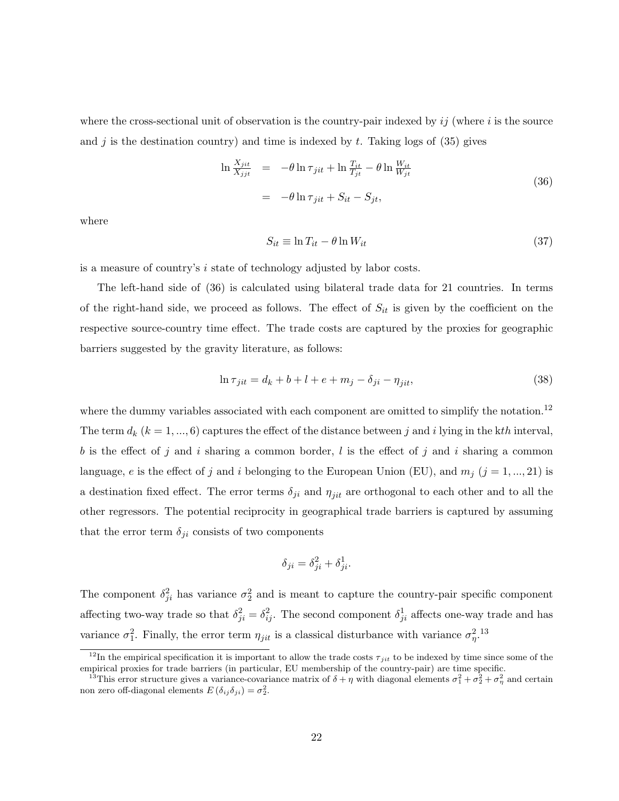where the cross-sectional unit of observation is the country-pair indexed by  $ij$  (where i is the source and j is the destination country) and time is indexed by t. Taking logs of  $(35)$  gives

$$
\ln \frac{X_{jit}}{X_{jit}} = -\theta \ln \tau_{jit} + \ln \frac{T_{it}}{T_{jt}} - \theta \ln \frac{W_{it}}{W_{jt}}
$$
  
= 
$$
-\theta \ln \tau_{jit} + S_{it} - S_{jt},
$$
 (36)

where

$$
S_{it} \equiv \ln T_{it} - \theta \ln W_{it} \tag{37}
$$

is a measure of country's i state of technology adjusted by labor costs.

The left-hand side of (36) is calculated using bilateral trade data for 21 countries. In terms of the right-hand side, we proceed as follows. The effect of  $S_{it}$  is given by the coefficient on the respective source-country time effect. The trade costs are captured by the proxies for geographic barriers suggested by the gravity literature, as follows:

$$
\ln \tau_{jit} = d_k + b + l + e + m_j - \delta_{ji} - \eta_{jit},\tag{38}
$$

where the dummy variables associated with each component are omitted to simplify the notation.<sup>12</sup> The term  $d_k$   $(k = 1, ..., 6)$  captures the effect of the distance between j and i lying in the kth interval, b is the effect of j and i sharing a common border, l is the effect of j and i sharing a common language, e is the effect of j and i belonging to the European Union (EU), and  $m_j$  (j = 1, ..., 21) is a destination fixed effect. The error terms  $\delta_{ji}$  and  $\eta_{jit}$  are orthogonal to each other and to all the other regressors. The potential reciprocity in geographical trade barriers is captured by assuming that the error term  $\delta_{ji}$  consists of two components

$$
\delta_{ji} = \delta_{ji}^2 + \delta_{ji}^1.
$$

The component  $\delta_{ji}^2$  has variance  $\sigma_2^2$  and is meant to capture the country-pair specific component affecting two-way trade so that  $\delta_{ji}^2 = \delta_{ij}^2$ . The second component  $\delta_{ji}^1$  affects one-way trade and has variance  $\sigma_1^2$ . Finally, the error term  $\eta_{jit}$  is a classical disturbance with variance  $\sigma_\eta^2$ .<sup>13</sup>

 $12$ In the empirical specification it is important to allow the trade costs  $\tau_{jit}$  to be indexed by time since some of the empirical proxies for trade barriers (in particular, EU membership of the country-pair) are time specific.

<sup>&</sup>lt;sup>13</sup>This error structure gives a variance-covariance matrix of  $\delta + \eta$  with diagonal elements  $\sigma_1^2 + \sigma_2^2 + \sigma_\eta^2$  and certain non zero off-diagonal elements  $E(\delta_{ij}\delta_{ji}) = \sigma_2^2$ .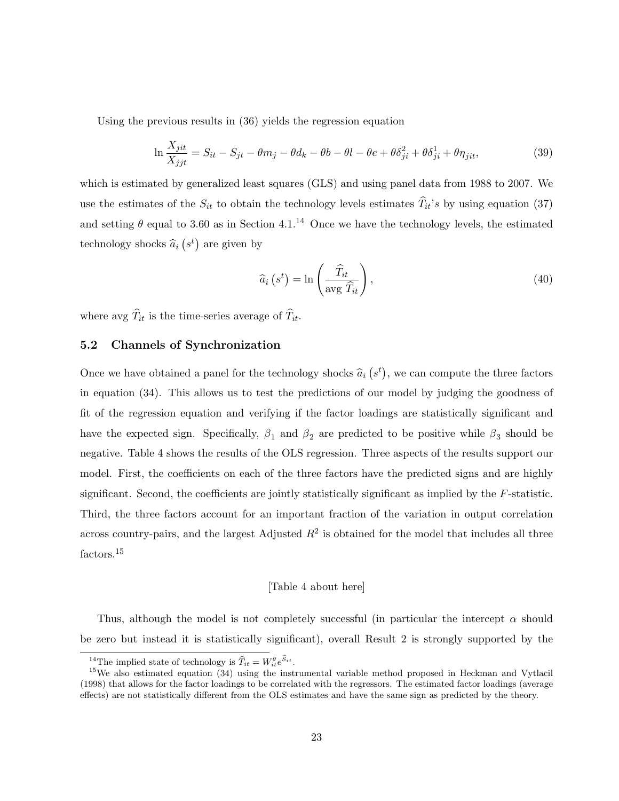Using the previous results in (36) yields the regression equation

$$
\ln \frac{X_{jit}}{X_{jit}} = S_{it} - S_{jt} - \theta m_j - \theta d_k - \theta b - \theta l - \theta e + \theta \delta_{ji}^2 + \theta \delta_{ji}^1 + \theta \eta_{jit},
$$
\n(39)

which is estimated by generalized least squares (GLS) and using panel data from 1988 to 2007. We use the estimates of the  $S_{it}$  to obtain the technology levels estimates  $\widehat{T}_{it}$ 's by using equation (37) and setting  $\theta$  equal to 3.60 as in Section 4.1.<sup>14</sup> Once we have the technology levels, the estimated technology shocks  $\hat{a}_i(s^t)$  are given by

$$
\widehat{a}_{i}\left(s^{t}\right) = \ln\left(\frac{\widehat{T}_{it}}{\text{avg }\widehat{T}_{it}}\right),\tag{40}
$$

where avg  $\widehat{T}_{it}$  is the time-series average of  $\widehat{T}_{it}$ .

### 5.2 Channels of Synchronization

Once we have obtained a panel for the technology shocks  $\hat{a}_i(s^t)$ , we can compute the three factors in equation (34). This allows us to test the predictions of our model by judging the goodness of fit of the regression equation and verifying if the factor loadings are statistically significant and have the expected sign. Specifically,  $\beta_1$  and  $\beta_2$  are predicted to be positive while  $\beta_3$  should be negative. Table 4 shows the results of the OLS regression. Three aspects of the results support our model. First, the coefficients on each of the three factors have the predicted signs and are highly significant. Second, the coefficients are jointly statistically significant as implied by the  $F$ -statistic. Third, the three factors account for an important fraction of the variation in output correlation across country-pairs, and the largest Adjusted  $R^2$  is obtained for the model that includes all three factors.<sup>15</sup>

#### [Table 4 about here]

Thus, although the model is not completely successful (in particular the intercept  $\alpha$  should be zero but instead it is statistically significant), overall Result 2 is strongly supported by the

<sup>&</sup>lt;sup>14</sup>The implied state of technology is  $\hat{T}_{it} = W_{it}^{\theta} e^{S_{it}}$ .

 $15$ We also estimated equation (34) using the instrumental variable method proposed in Heckman and Vytlacil (1998) that allows for the factor loadings to be correlated with the regressors. The estimated factor loadings (average effects) are not statistically different from the OLS estimates and have the same sign as predicted by the theory.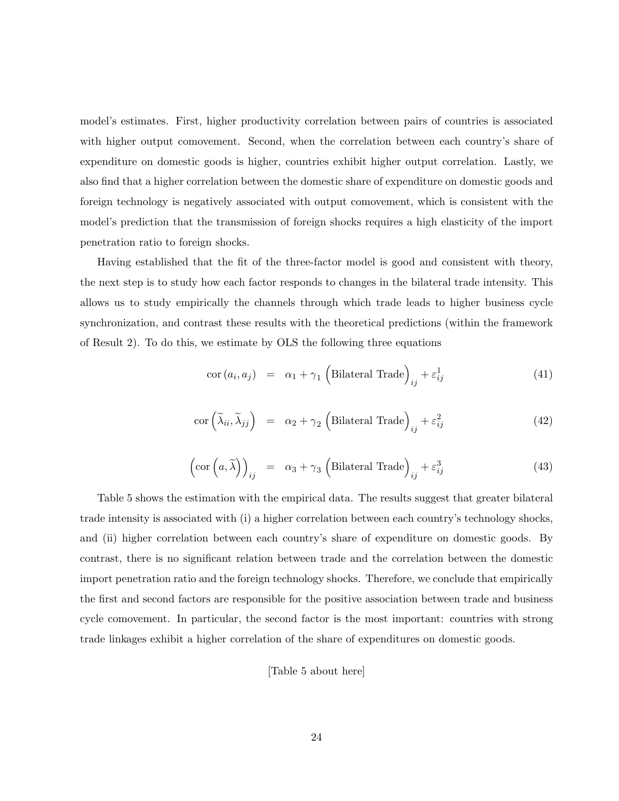model's estimates. First, higher productivity correlation between pairs of countries is associated with higher output comovement. Second, when the correlation between each country's share of expenditure on domestic goods is higher, countries exhibit higher output correlation. Lastly, we also find that a higher correlation between the domestic share of expenditure on domestic goods and foreign technology is negatively associated with output comovement, which is consistent with the model's prediction that the transmission of foreign shocks requires a high elasticity of the import penetration ratio to foreign shocks.

Having established that the fit of the three-factor model is good and consistent with theory, the next step is to study how each factor responds to changes in the bilateral trade intensity. This allows us to study empirically the channels through which trade leads to higher business cycle synchronization, and contrast these results with the theoretical predictions (within the framework of Result 2). To do this, we estimate by OLS the following three equations

$$
\text{cor}\,(a_i, a_j) = \alpha_1 + \gamma_1 \left(\text{Bilateral Trade}\right)_{ij} + \varepsilon_{ij}^1 \tag{41}
$$

$$
\text{cor}\left(\widetilde{\lambda}_{ii}, \widetilde{\lambda}_{jj}\right) = \alpha_2 + \gamma_2 \left(\text{Bilateral Trade}\right)_{ij} + \varepsilon_{ij}^2 \tag{42}
$$

$$
\left(\operatorname{cor}\left(a,\widetilde{\lambda}\right)\right)_{ij} = \alpha_3 + \gamma_3 \left(\text{Bilateral Trade}\right)_{ij} + \varepsilon_{ij}^3\tag{43}
$$

Table 5 shows the estimation with the empirical data. The results suggest that greater bilateral trade intensity is associated with (i) a higher correlation between each country's technology shocks, and (ii) higher correlation between each country's share of expenditure on domestic goods. By contrast, there is no significant relation between trade and the correlation between the domestic import penetration ratio and the foreign technology shocks. Therefore, we conclude that empirically the first and second factors are responsible for the positive association between trade and business cycle comovement. In particular, the second factor is the most important: countries with strong trade linkages exhibit a higher correlation of the share of expenditures on domestic goods.

[Table 5 about here]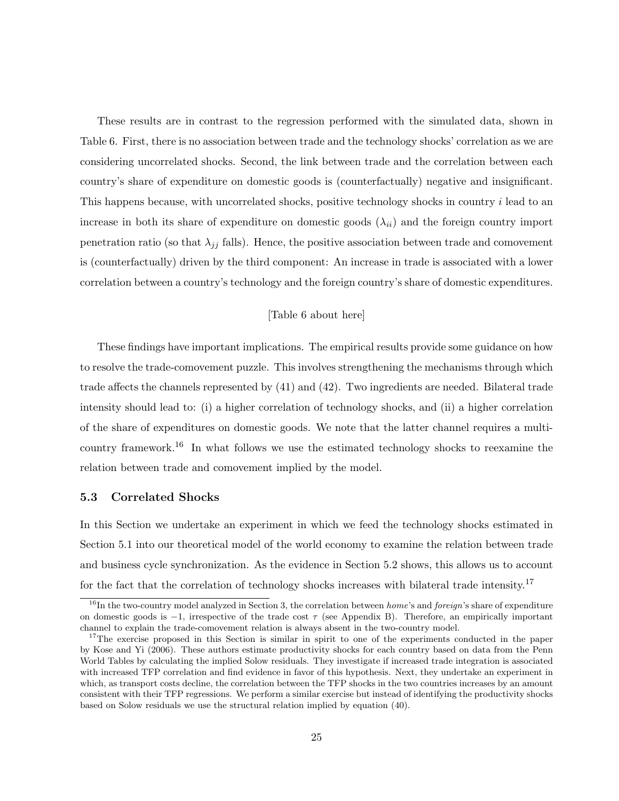These results are in contrast to the regression performed with the simulated data, shown in Table 6. First, there is no association between trade and the technology shocks' correlation as we are considering uncorrelated shocks. Second, the link between trade and the correlation between each country's share of expenditure on domestic goods is (counterfactually) negative and insignificant. This happens because, with uncorrelated shocks, positive technology shocks in country i lead to an increase in both its share of expenditure on domestic goods  $(\lambda_{ii})$  and the foreign country import penetration ratio (so that  $\lambda_{jj}$  falls). Hence, the positive association between trade and comovement is (counterfactually) driven by the third component: An increase in trade is associated with a lower correlation between a country's technology and the foreign country's share of domestic expenditures.

#### [Table 6 about here]

These findings have important implications. The empirical results provide some guidance on how to resolve the trade-comovement puzzle. This involves strengthening the mechanisms through which trade affects the channels represented by (41) and (42). Two ingredients are needed. Bilateral trade intensity should lead to: (i) a higher correlation of technology shocks, and (ii) a higher correlation of the share of expenditures on domestic goods. We note that the latter channel requires a multicountry framework.<sup>16</sup> In what follows we use the estimated technology shocks to reexamine the relation between trade and comovement implied by the model.

#### 5.3 Correlated Shocks

In this Section we undertake an experiment in which we feed the technology shocks estimated in Section 5.1 into our theoretical model of the world economy to examine the relation between trade and business cycle synchronization. As the evidence in Section 5.2 shows, this allows us to account for the fact that the correlation of technology shocks increases with bilateral trade intensity.<sup>17</sup>

 $16$ In the two-country model analyzed in Section 3, the correlation between *home*'s and *foreign*'s share of expenditure on domestic goods is  $-1$ , irrespective of the trade cost  $\tau$  (see Appendix B). Therefore, an empirically important channel to explain the trade-comovement relation is always absent in the two-country model.

<sup>&</sup>lt;sup>17</sup>The exercise proposed in this Section is similar in spirit to one of the experiments conducted in the paper by Kose and Yi (2006). These authors estimate productivity shocks for each country based on data from the Penn World Tables by calculating the implied Solow residuals. They investigate if increased trade integration is associated with increased TFP correlation and find evidence in favor of this hypothesis. Next, they undertake an experiment in which, as transport costs decline, the correlation between the TFP shocks in the two countries increases by an amount consistent with their TFP regressions. We perform a similar exercise but instead of identifying the productivity shocks based on Solow residuals we use the structural relation implied by equation (40).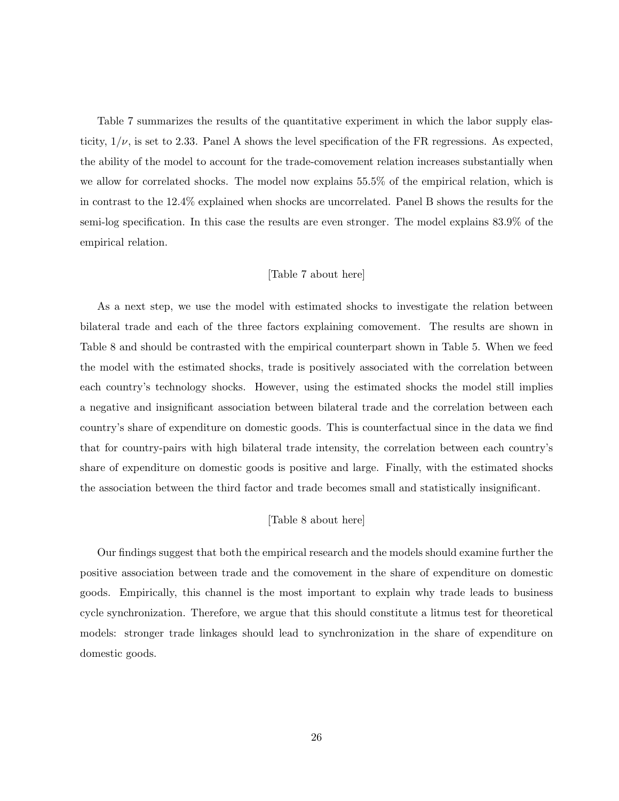Table 7 summarizes the results of the quantitative experiment in which the labor supply elasticity,  $1/\nu$ , is set to 2.33. Panel A shows the level specification of the FR regressions. As expected, the ability of the model to account for the trade-comovement relation increases substantially when we allow for correlated shocks. The model now explains 55.5% of the empirical relation, which is in contrast to the 12.4% explained when shocks are uncorrelated. Panel B shows the results for the semi-log specification. In this case the results are even stronger. The model explains 83.9% of the empirical relation.

#### [Table 7 about here]

As a next step, we use the model with estimated shocks to investigate the relation between bilateral trade and each of the three factors explaining comovement. The results are shown in Table 8 and should be contrasted with the empirical counterpart shown in Table 5. When we feed the model with the estimated shocks, trade is positively associated with the correlation between each country's technology shocks. However, using the estimated shocks the model still implies a negative and insignificant association between bilateral trade and the correlation between each country's share of expenditure on domestic goods. This is counterfactual since in the data we find that for country-pairs with high bilateral trade intensity, the correlation between each country's share of expenditure on domestic goods is positive and large. Finally, with the estimated shocks the association between the third factor and trade becomes small and statistically insignificant.

#### [Table 8 about here]

Our findings suggest that both the empirical research and the models should examine further the positive association between trade and the comovement in the share of expenditure on domestic goods. Empirically, this channel is the most important to explain why trade leads to business cycle synchronization. Therefore, we argue that this should constitute a litmus test for theoretical models: stronger trade linkages should lead to synchronization in the share of expenditure on domestic goods.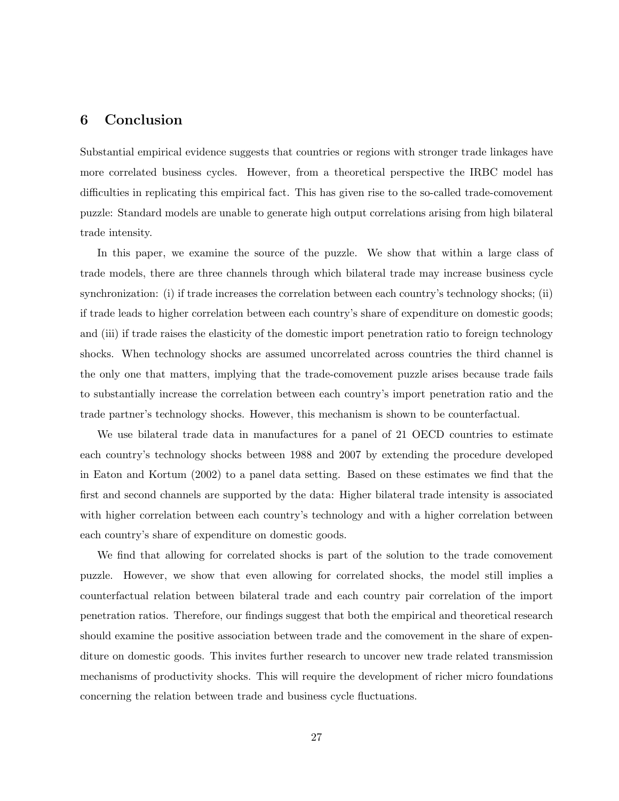## 6 Conclusion

Substantial empirical evidence suggests that countries or regions with stronger trade linkages have more correlated business cycles. However, from a theoretical perspective the IRBC model has difficulties in replicating this empirical fact. This has given rise to the so-called trade-comovement puzzle: Standard models are unable to generate high output correlations arising from high bilateral trade intensity.

In this paper, we examine the source of the puzzle. We show that within a large class of trade models, there are three channels through which bilateral trade may increase business cycle synchronization: (i) if trade increases the correlation between each country's technology shocks; (ii) if trade leads to higher correlation between each country's share of expenditure on domestic goods; and (iii) if trade raises the elasticity of the domestic import penetration ratio to foreign technology shocks. When technology shocks are assumed uncorrelated across countries the third channel is the only one that matters, implying that the trade-comovement puzzle arises because trade fails to substantially increase the correlation between each country's import penetration ratio and the trade partner's technology shocks. However, this mechanism is shown to be counterfactual.

We use bilateral trade data in manufactures for a panel of 21 OECD countries to estimate each country's technology shocks between 1988 and 2007 by extending the procedure developed in Eaton and Kortum (2002) to a panel data setting. Based on these estimates we find that the first and second channels are supported by the data: Higher bilateral trade intensity is associated with higher correlation between each country's technology and with a higher correlation between each country's share of expenditure on domestic goods.

We find that allowing for correlated shocks is part of the solution to the trade comovement puzzle. However, we show that even allowing for correlated shocks, the model still implies a counterfactual relation between bilateral trade and each country pair correlation of the import penetration ratios. Therefore, our findings suggest that both the empirical and theoretical research should examine the positive association between trade and the comovement in the share of expenditure on domestic goods. This invites further research to uncover new trade related transmission mechanisms of productivity shocks. This will require the development of richer micro foundations concerning the relation between trade and business cycle fluctuations.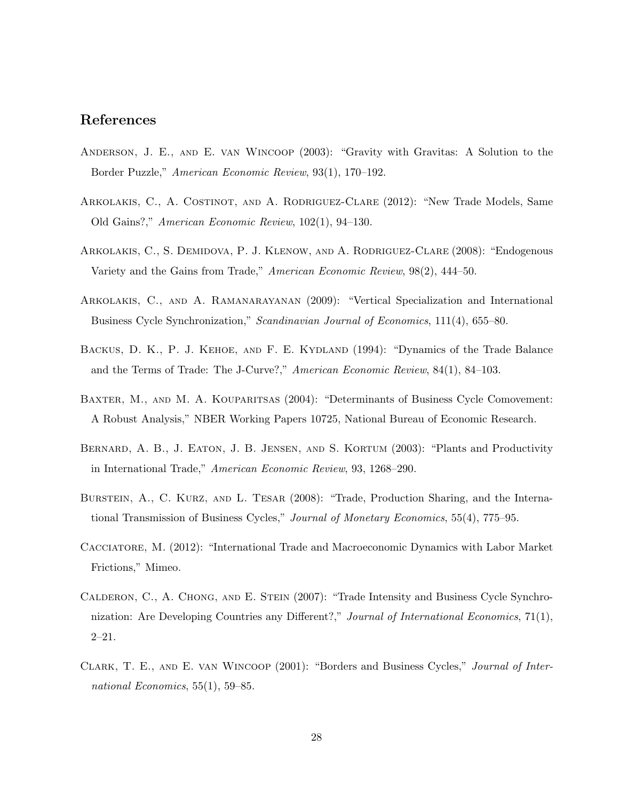## References

- Anderson, J. E., and E. van Wincoop (2003): "Gravity with Gravitas: A Solution to the Border Puzzle," American Economic Review, 93(1), 170–192.
- Arkolakis, C., A. Costinot, and A. Rodriguez-Clare (2012): "New Trade Models, Same Old Gains?," American Economic Review, 102(1), 94–130.
- Arkolakis, C., S. Demidova, P. J. Klenow, and A. Rodriguez-Clare (2008): "Endogenous Variety and the Gains from Trade," American Economic Review, 98(2), 444–50.
- Arkolakis, C., and A. Ramanarayanan (2009): "Vertical Specialization and International Business Cycle Synchronization," Scandinavian Journal of Economics, 111(4), 655–80.
- Backus, D. K., P. J. Kehoe, and F. E. Kydland (1994): "Dynamics of the Trade Balance and the Terms of Trade: The J-Curve?," American Economic Review, 84(1), 84–103.
- BAXTER, M., AND M. A. KOUPARITSAS (2004): "Determinants of Business Cycle Comovement: A Robust Analysis," NBER Working Papers 10725, National Bureau of Economic Research.
- Bernard, A. B., J. Eaton, J. B. Jensen, and S. Kortum (2003): "Plants and Productivity in International Trade," American Economic Review, 93, 1268–290.
- Burstein, A., C. Kurz, and L. Tesar (2008): "Trade, Production Sharing, and the International Transmission of Business Cycles," Journal of Monetary Economics, 55(4), 775–95.
- Cacciatore, M. (2012): "International Trade and Macroeconomic Dynamics with Labor Market Frictions," Mimeo.
- CALDERON, C., A. CHONG, AND E. STEIN (2007): "Trade Intensity and Business Cycle Synchronization: Are Developing Countries any Different?," Journal of International Economics, 71(1), 2–21.
- Clark, T. E., and E. van Wincoop (2001): "Borders and Business Cycles," Journal of International Economics, 55(1), 59–85.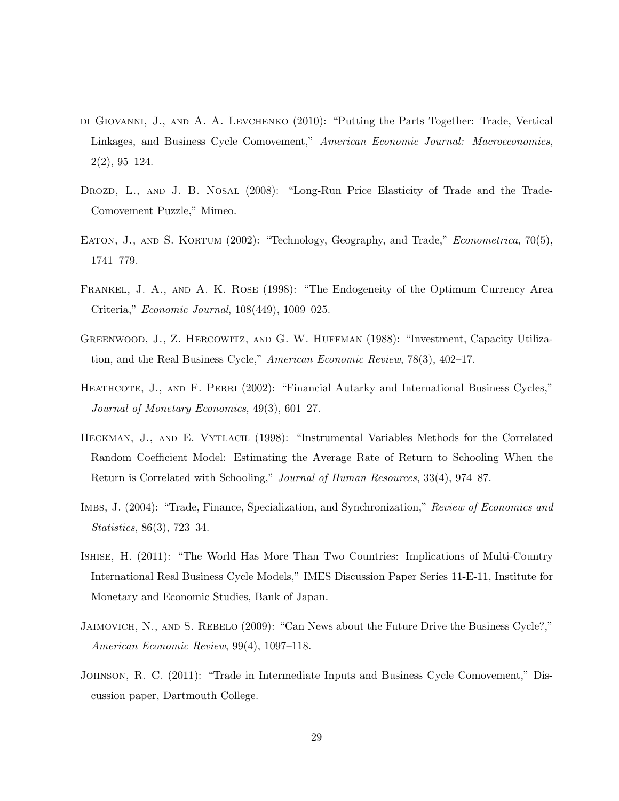- di Giovanni, J., and A. A. Levchenko (2010): "Putting the Parts Together: Trade, Vertical Linkages, and Business Cycle Comovement," American Economic Journal: Macroeconomics, 2(2), 95–124.
- DROZD, L., AND J. B. NOSAL (2008): "Long-Run Price Elasticity of Trade and the Trade-Comovement Puzzle," Mimeo.
- EATON, J., AND S. KORTUM (2002): "Technology, Geography, and Trade," *Econometrica*, 70(5), 1741–779.
- Frankel, J. A., and A. K. Rose (1998): "The Endogeneity of the Optimum Currency Area Criteria," Economic Journal, 108(449), 1009–025.
- GREENWOOD, J., Z. HERCOWITZ, AND G. W. HUFFMAN (1988): "Investment, Capacity Utilization, and the Real Business Cycle," American Economic Review, 78(3), 402–17.
- HEATHCOTE, J., AND F. PERRI (2002): "Financial Autarky and International Business Cycles," Journal of Monetary Economics, 49(3), 601–27.
- Heckman, J., and E. Vytlacil (1998): "Instrumental Variables Methods for the Correlated Random Coefficient Model: Estimating the Average Rate of Return to Schooling When the Return is Correlated with Schooling," Journal of Human Resources, 33(4), 974–87.
- Imbs, J. (2004): "Trade, Finance, Specialization, and Synchronization," Review of Economics and Statistics, 86(3), 723–34.
- Ishise, H. (2011): "The World Has More Than Two Countries: Implications of Multi-Country International Real Business Cycle Models," IMES Discussion Paper Series 11-E-11, Institute for Monetary and Economic Studies, Bank of Japan.
- JAIMOVICH, N., AND S. REBELO (2009): "Can News about the Future Drive the Business Cycle?," American Economic Review, 99(4), 1097–118.
- Johnson, R. C. (2011): "Trade in Intermediate Inputs and Business Cycle Comovement," Discussion paper, Dartmouth College.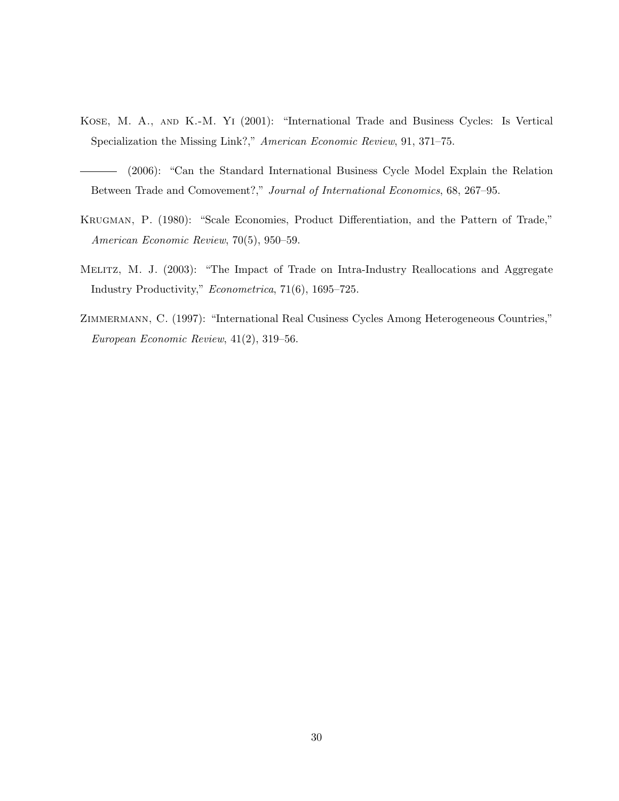- Kose, M. A., and K.-M. Yi (2001): "International Trade and Business Cycles: Is Vertical Specialization the Missing Link?," American Economic Review, 91, 371–75.
- (2006): "Can the Standard International Business Cycle Model Explain the Relation Between Trade and Comovement?," Journal of International Economics, 68, 267–95.
- Krugman, P. (1980): "Scale Economies, Product Differentiation, and the Pattern of Trade," American Economic Review, 70(5), 950–59.
- MELITZ, M. J. (2003): "The Impact of Trade on Intra-Industry Reallocations and Aggregate Industry Productivity," Econometrica, 71(6), 1695–725.
- Zimmermann, C. (1997): "International Real Cusiness Cycles Among Heterogeneous Countries," European Economic Review, 41(2), 319–56.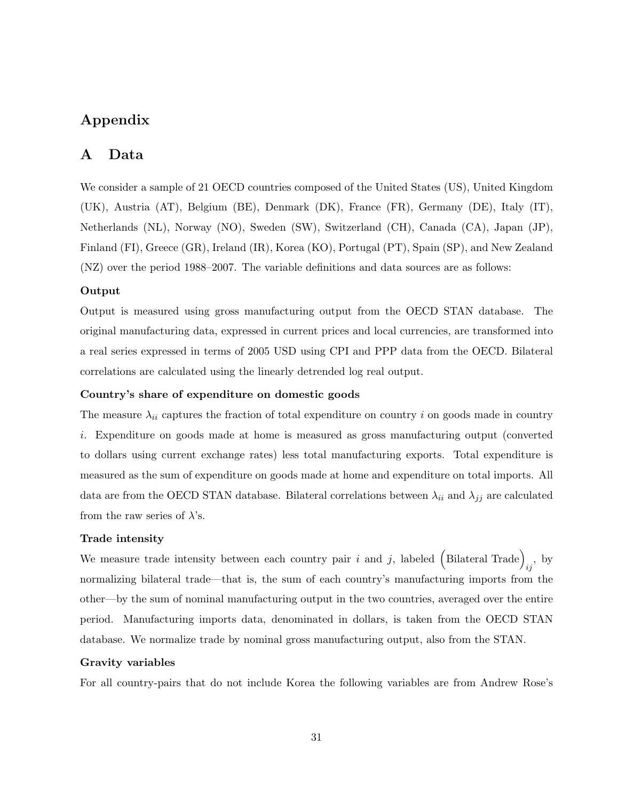# Appendix

# A Data

We consider a sample of 21 OECD countries composed of the United States (US), United Kingdom (UK), Austria (AT), Belgium (BE), Denmark (DK), France (FR), Germany (DE), Italy (IT), Netherlands (NL), Norway (NO), Sweden (SW), Switzerland (CH), Canada (CA), Japan (JP), Finland (FI), Greece (GR), Ireland (IR), Korea (KO), Portugal (PT), Spain (SP), and New Zealand (NZ) over the period 1988–2007. The variable definitions and data sources are as follows:

#### Output

Output is measured using gross manufacturing output from the OECD STAN database. The original manufacturing data, expressed in current prices and local currencies, are transformed into a real series expressed in terms of 2005 USD using CPI and PPP data from the OECD. Bilateral correlations are calculated using the linearly detrended log real output.

#### Country's share of expenditure on domestic goods

The measure  $\lambda_{ii}$  captures the fraction of total expenditure on country i on goods made in country i. Expenditure on goods made at home is measured as gross manufacturing output (converted to dollars using current exchange rates) less total manufacturing exports. Total expenditure is measured as the sum of expenditure on goods made at home and expenditure on total imports. All data are from the OECD STAN database. Bilateral correlations between  $\lambda_{ii}$  and  $\lambda_{jj}$  are calculated from the raw series of  $\lambda$ 's.

#### Trade intensity

We measure trade intensity between each country pair i and j, labeled  $\left(\text{Bilateral Trade}\right)_{ij}$ , by normalizing bilateral trade—that is, the sum of each country's manufacturing imports from the other—by the sum of nominal manufacturing output in the two countries, averaged over the entire period. Manufacturing imports data, denominated in dollars, is taken from the OECD STAN database. We normalize trade by nominal gross manufacturing output, also from the STAN.

#### Gravity variables

For all country-pairs that do not include Korea the following variables are from Andrew Rose's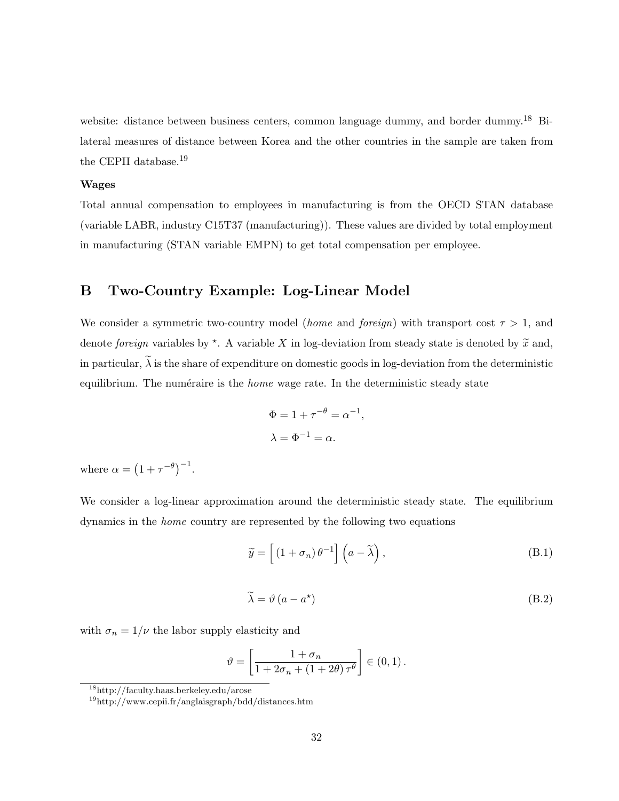website: distance between business centers, common language dummy, and border dummy.<sup>18</sup> Bilateral measures of distance between Korea and the other countries in the sample are taken from the CEPII database.<sup>19</sup>

#### Wages

Total annual compensation to employees in manufacturing is from the OECD STAN database (variable LABR, industry C15T37 (manufacturing)). These values are divided by total employment in manufacturing (STAN variable EMPN) to get total compensation per employee.

# B Two-Country Example: Log-Linear Model

We consider a symmetric two-country model (*home* and *foreign*) with transport cost  $\tau > 1$ , and denote *foreign* variables by  $\star$ . A variable X in log-deviation from steady state is denoted by  $\tilde{x}$  and, in particular,  $\tilde{\lambda}$  is the share of expenditure on domestic goods in log-deviation from the deterministic equilibrium. The numéraire is the *home* wage rate. In the deterministic steady state

$$
\Phi = 1 + \tau^{-\theta} = \alpha^{-1},
$$
  

$$
\lambda = \Phi^{-1} = \alpha.
$$

where  $\alpha = (1 + \tau^{-\theta})^{-1}$ .

We consider a log-linear approximation around the deterministic steady state. The equilibrium dynamics in the home country are represented by the following two equations

$$
\widetilde{y} = \left[ (1 + \sigma_n) \theta^{-1} \right] \left( a - \widetilde{\lambda} \right), \tag{B.1}
$$

$$
\widetilde{\lambda} = \vartheta \left( a - a^* \right) \tag{B.2}
$$

with  $\sigma_n = 1/\nu$  the labor supply elasticity and

$$
\vartheta = \left[ \frac{1 + \sigma_n}{1 + 2\sigma_n + (1 + 2\theta)\tau^{\theta}} \right] \in (0, 1).
$$

<sup>18</sup>http://faculty.haas.berkeley.edu/arose

<sup>19</sup>http://www.cepii.fr/anglaisgraph/bdd/distances.htm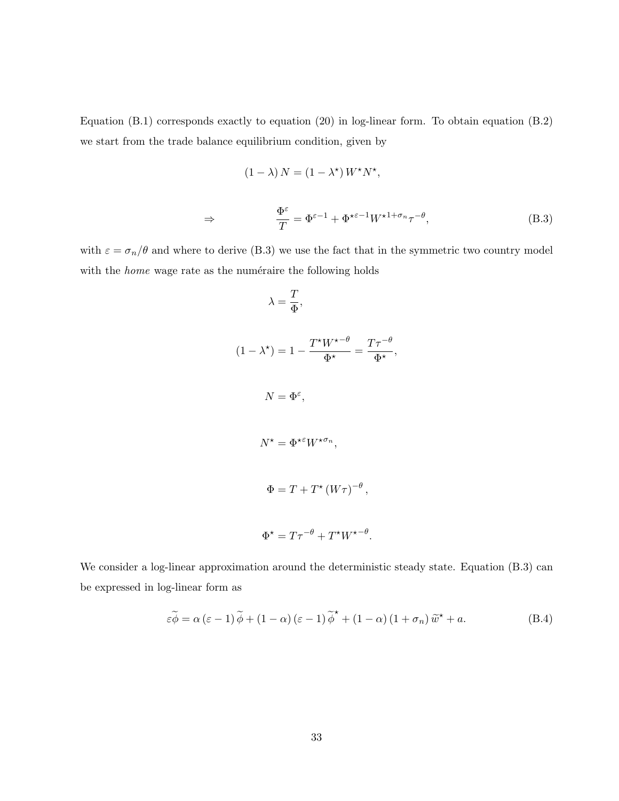Equation (B.1) corresponds exactly to equation (20) in log-linear form. To obtain equation (B.2) we start from the trade balance equilibrium condition, given by

$$
(1 - \lambda) N = (1 - \lambda^*) W^* N^*,
$$

$$
\Rightarrow \frac{\Phi^{\varepsilon}}{T} = \Phi^{\varepsilon - 1} + \Phi^{\star \varepsilon - 1} W^{\star 1 + \sigma_n} \tau^{-\theta}, \tag{B.3}
$$

with  $\varepsilon = \sigma_n/\theta$  and where to derive (B.3) we use the fact that in the symmetric two country model with the *home* wage rate as the numéraire the following holds

$$
\lambda = \frac{T}{\Phi},
$$
  
\n
$$
(1 - \lambda^*) = 1 - \frac{T^* W^{* - \theta}}{\Phi^*} = \frac{T\tau^{-\theta}}{\Phi^*},
$$
  
\n
$$
N = \Phi^{\varepsilon},
$$
  
\n
$$
N^* = \Phi^{*\varepsilon} W^{*\sigma_n},
$$
  
\n
$$
\Phi = T + T^* (W\tau)^{-\theta},
$$
  
\n
$$
\Phi^* = T\tau^{-\theta} + T^* W^{* - \theta}.
$$

We consider a log-linear approximation around the deterministic steady state. Equation (B.3) can be expressed in log-linear form as

$$
\varepsilon \widetilde{\phi} = \alpha \left( \varepsilon - 1 \right) \widetilde{\phi} + \left( 1 - \alpha \right) \left( \varepsilon - 1 \right) \widetilde{\phi}^* + \left( 1 - \alpha \right) \left( 1 + \sigma_n \right) \widetilde{w}^* + a. \tag{B.4}
$$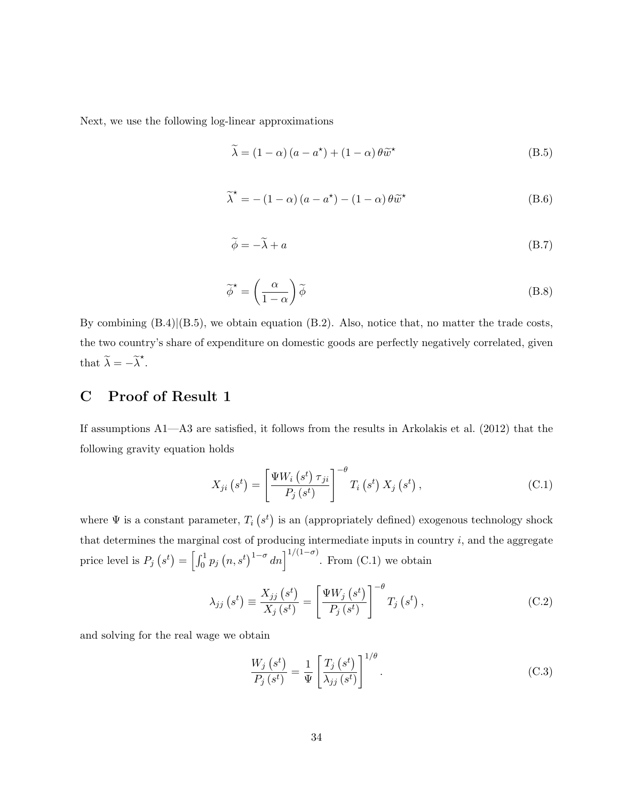Next, we use the following log-linear approximations

$$
\widetilde{\lambda} = (1 - \alpha) (a - a^*) + (1 - \alpha) \theta \widetilde{w}^*
$$
\n(B.5)

$$
\widetilde{\lambda}^* = -(1 - \alpha) (a - a^*) - (1 - \alpha) \theta \widetilde{w}^*
$$
\n(B.6)

$$
\widetilde{\phi} = -\widetilde{\lambda} + a \tag{B.7}
$$

$$
\widetilde{\phi}^{\star} = \left(\frac{\alpha}{1-\alpha}\right)\widetilde{\phi} \tag{B.8}
$$

By combining (B.4)|(B.5), we obtain equation (B.2). Also, notice that, no matter the trade costs, the two country's share of expenditure on domestic goods are perfectly negatively correlated, given that  $\widetilde{\lambda} = -\widetilde{\lambda}^*$ .

# C Proof of Result 1

If assumptions A1—A3 are satisfied, it follows from the results in Arkolakis et al. (2012) that the following gravity equation holds

$$
X_{ji}\left(s^{t}\right) = \left[\frac{\Psi W_{i}\left(s^{t}\right)\tau_{ji}}{P_{j}\left(s^{t}\right)}\right]^{-\theta}T_{i}\left(s^{t}\right)X_{j}\left(s^{t}\right),\tag{C.1}
$$

where  $\Psi$  is a constant parameter,  $T_i$   $(s^t)$  is an (appropriately defined) exogenous technology shock that determines the marginal cost of producing intermediate inputs in country  $i$ , and the aggregate price level is  $P_j(s^t) = \left[\int_0^1 p_j(n, s^t)^{1-\sigma} dn\right]^{1/(1-\sigma)}$ . From (C.1) we obtain

$$
\lambda_{jj}\left(s^{t}\right) \equiv \frac{X_{jj}\left(s^{t}\right)}{X_{j}\left(s^{t}\right)} = \left[\frac{\Psi W_{j}\left(s^{t}\right)}{P_{j}\left(s^{t}\right)}\right]^{-\theta} T_{j}\left(s^{t}\right),\tag{C.2}
$$

and solving for the real wage we obtain

$$
\frac{W_j(s^t)}{P_j(s^t)} = \frac{1}{\Psi} \left[ \frac{T_j(s^t)}{\lambda_{jj}(s^t)} \right]^{1/\theta}.
$$
\n(C.3)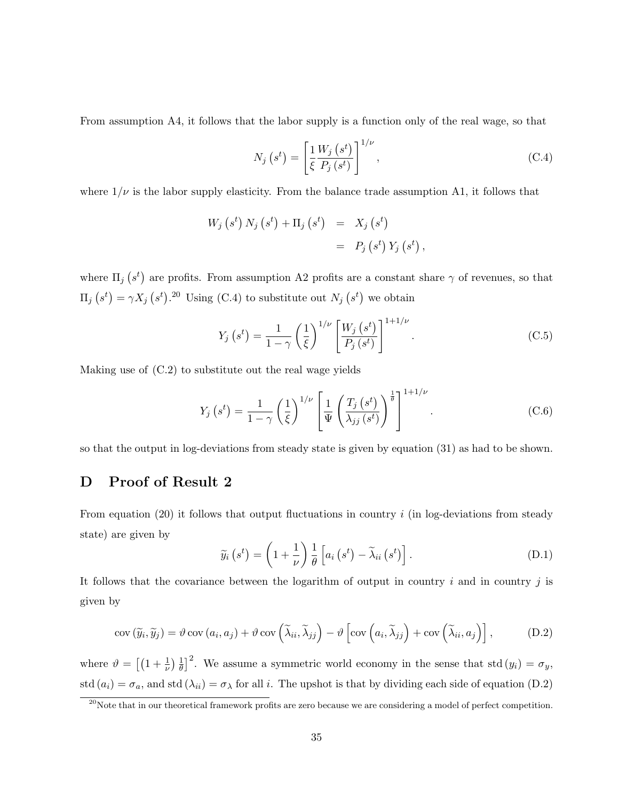From assumption A4, it follows that the labor supply is a function only of the real wage, so that

$$
N_j\left(s^t\right) = \left[\frac{1}{\xi} \frac{W_j\left(s^t\right)}{P_j\left(s^t\right)}\right]^{1/\nu},\tag{C.4}
$$

where  $1/\nu$  is the labor supply elasticity. From the balance trade assumption A1, it follows that

$$
W_j(s^t) N_j(s^t) + \Pi_j(s^t) = X_j(s^t)
$$
  
=  $P_j(s^t) Y_j(s^t)$ ,

where  $\Pi_j$  (s<sup>t</sup>) are profits. From assumption A2 profits are a constant share  $\gamma$  of revenues, so that  $\Pi_j(s^t) = \gamma X_j(s^t)$ .<sup>20</sup> Using (C.4) to substitute out  $N_j(s^t)$  we obtain

$$
Y_{j}(s^{t}) = \frac{1}{1-\gamma} \left(\frac{1}{\xi}\right)^{1/\nu} \left[\frac{W_{j}(s^{t})}{P_{j}(s^{t})}\right]^{1+1/\nu}.
$$
 (C.5)

Making use of (C.2) to substitute out the real wage yields

$$
Y_j\left(s^t\right) = \frac{1}{1-\gamma} \left(\frac{1}{\xi}\right)^{1/\nu} \left[\frac{1}{\Psi}\left(\frac{T_j\left(s^t\right)}{\lambda_{jj}\left(s^t\right)}\right)^{\frac{1}{\theta}}\right]^{1+1/\nu}.
$$
\n(C.6)

so that the output in log-deviations from steady state is given by equation (31) as had to be shown.

# D Proof of Result 2

From equation (20) it follows that output fluctuations in country  $i$  (in log-deviations from steady state) are given by

$$
\widetilde{y}_{i}\left(s^{t}\right) = \left(1 + \frac{1}{\nu}\right) \frac{1}{\theta} \left[a_{i}\left(s^{t}\right) - \widetilde{\lambda}_{ii}\left(s^{t}\right)\right].
$$
\n(D.1)

It follows that the covariance between the logarithm of output in country  $i$  and in country  $j$  is given by

$$
cov\left(\widetilde{y}_i, \widetilde{y}_j\right) = \vartheta cov\left(a_i, a_j\right) + \vartheta cov\left(\widetilde{\lambda}_{ii}, \widetilde{\lambda}_{jj}\right) - \vartheta \left[ cov\left(a_i, \widetilde{\lambda}_{jj}\right) + cov\left(\widetilde{\lambda}_{ii}, a_j\right)\right],\tag{D.2}
$$

where  $\vartheta = \left[ \left( 1 + \frac{1}{\nu} \right) \frac{1}{\theta} \right]$  $\frac{1}{\theta}$ <sup>2</sup>. We assume a symmetric world economy in the sense that std  $(y_i) = \sigma_y$ , std  $(a_i) = \sigma_a$ , and std  $(\lambda_{ii}) = \sigma_\lambda$  for all i. The upshot is that by dividing each side of equation (D.2)

 $20$ Note that in our theoretical framework profits are zero because we are considering a model of perfect competition.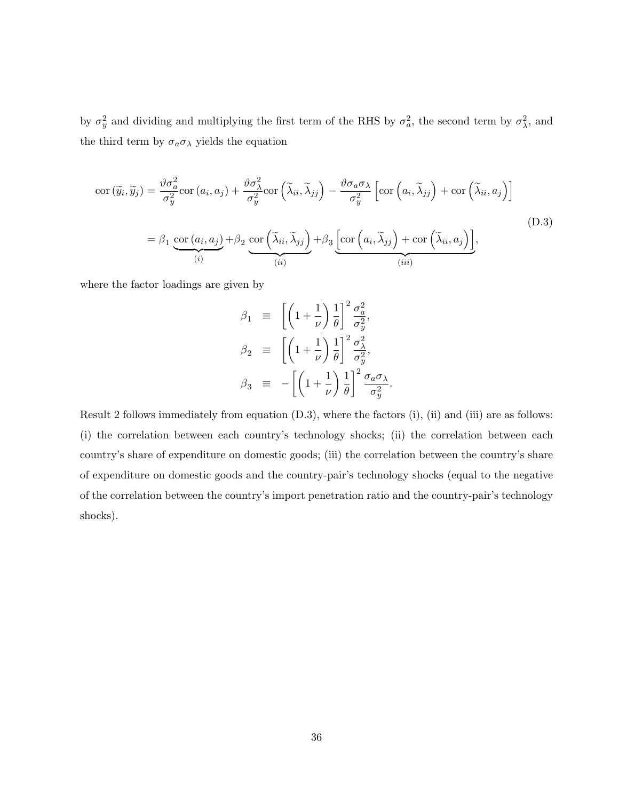by  $\sigma_y^2$  and dividing and multiplying the first term of the RHS by  $\sigma_a^2$ , the second term by  $\sigma_\lambda^2$ , and the third term by  $\sigma_a\sigma_\lambda$  yields the equation

$$
\operatorname{cor}(\widetilde{y}_i, \widetilde{y}_j) = \frac{\vartheta \sigma_a^2}{\sigma_y^2} \operatorname{cor}(a_i, a_j) + \frac{\vartheta \sigma_\lambda^2}{\sigma_y^2} \operatorname{cor}\left(\widetilde{\lambda}_{ii}, \widetilde{\lambda}_{jj}\right) - \frac{\vartheta \sigma_a \sigma_\lambda}{\sigma_y^2} \left[ \operatorname{cor}\left(a_i, \widetilde{\lambda}_{jj}\right) + \operatorname{cor}\left(\widetilde{\lambda}_{ii}, a_j\right) \right]
$$
\n
$$
= \beta_1 \underbrace{\operatorname{cor}(a_i, a_j)}_{(i)} + \beta_2 \underbrace{\operatorname{cor}\left(\widetilde{\lambda}_{ii}, \widetilde{\lambda}_{jj}\right)}_{(ii)} + \beta_3 \underbrace{\left[ \operatorname{cor}\left(a_i, \widetilde{\lambda}_{jj}\right) + \operatorname{cor}\left(\widetilde{\lambda}_{ii}, a_j\right) \right]}_{(iii)},
$$
\n(D.3)

where the factor loadings are given by

$$
\beta_1 \equiv \left[ \left( 1 + \frac{1}{\nu} \right) \frac{1}{\theta} \right]^2 \frac{\sigma_a^2}{\sigma_y^2},
$$
  

$$
\beta_2 \equiv \left[ \left( 1 + \frac{1}{\nu} \right) \frac{1}{\theta} \right]^2 \frac{\sigma_\lambda^2}{\sigma_y^2},
$$
  

$$
\beta_3 \equiv - \left[ \left( 1 + \frac{1}{\nu} \right) \frac{1}{\theta} \right]^2 \frac{\sigma_a \sigma_\lambda}{\sigma_y^2}
$$

.

Result 2 follows immediately from equation (D.3), where the factors (i), (ii) and (iii) are as follows: (i) the correlation between each country's technology shocks; (ii) the correlation between each country's share of expenditure on domestic goods; (iii) the correlation between the country's share of expenditure on domestic goods and the country-pair's technology shocks (equal to the negative of the correlation between the country's import penetration ratio and the country-pair's technology shocks).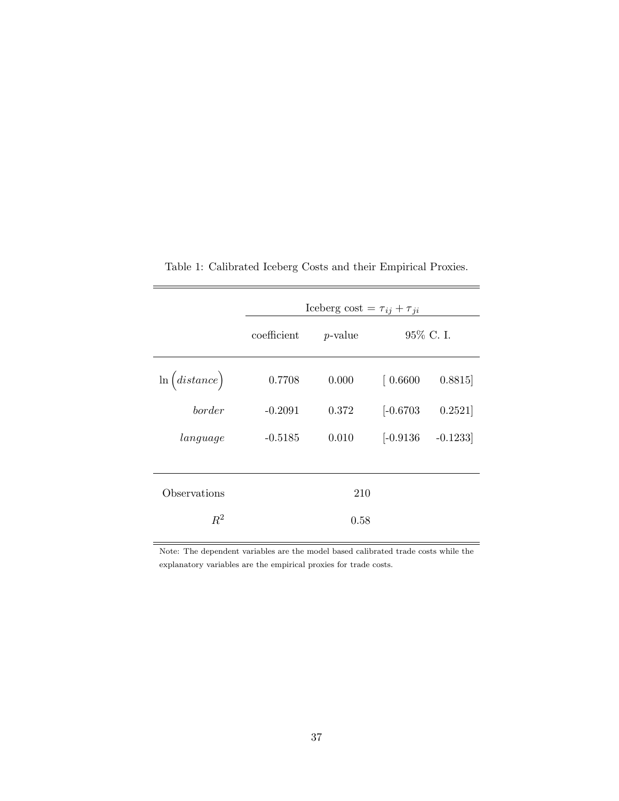|                  | Iceberg cost = $\tau_{ij} + \tau_{ji}$ |            |             |           |
|------------------|----------------------------------------|------------|-------------|-----------|
|                  | coefficient                            | $p$ -value |             | 95% C.I.  |
| $\ln (distance)$ | 0.7708                                 | 0.000      | [0.6600]    | 0.8815    |
| border           | $-0.2091$                              | 0.372      | $[-0.6703]$ | 0.2521    |
| language         | $-0.5185$                              | 0.010      | $[-0.9136]$ | $-0.1233$ |
|                  |                                        |            |             |           |
| Observations     |                                        | 210        |             |           |
| $R^2$            |                                        | 0.58       |             |           |

Table 1: Calibrated Iceberg Costs and their Empirical Proxies.

Note: The dependent variables are the model based calibrated trade costs while the explanatory variables are the empirical proxies for trade costs.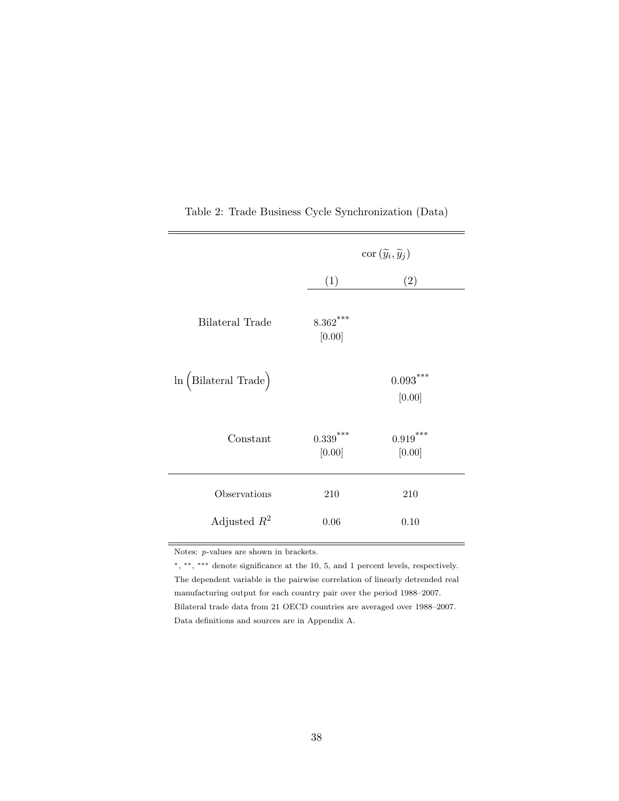|                                       | $\operatorname{cor}(\widetilde{y}_i,\widetilde{y}_j)$ |                                    |
|---------------------------------------|-------------------------------------------------------|------------------------------------|
|                                       | (1)                                                   | (2)                                |
| <b>Bilateral Trade</b>                | $\textbf{8.362}^{\ast\ast\ast}$<br>[0.00]             |                                    |
| $\ln\Big(\text{Bilateral Trade}\Big)$ |                                                       | $0.093***$<br>[0.00]               |
| Constant                              | ${0.339}^{\ast\ast\ast}$<br>[0.00]                    | ${0.919}^{\ast\ast\ast}$<br>[0.00] |
| Observations                          | 210                                                   | 210                                |
| Adjusted $R^2$                        | 0.06                                                  | 0.10                               |

## Table 2: Trade Business Cycle Synchronization (Data)

Notes: p-values are shown in brackets.

∗, ∗∗, ∗∗∗ denote significance at the 10, 5, and 1 percent levels, respectively. The dependent variable is the pairwise correlation of linearly detrended real manufacturing output for each country pair over the period 1988–2007. Bilateral trade data from 21 OECD countries are averaged over 1988–2007. Data definitions and sources are in Appendix A.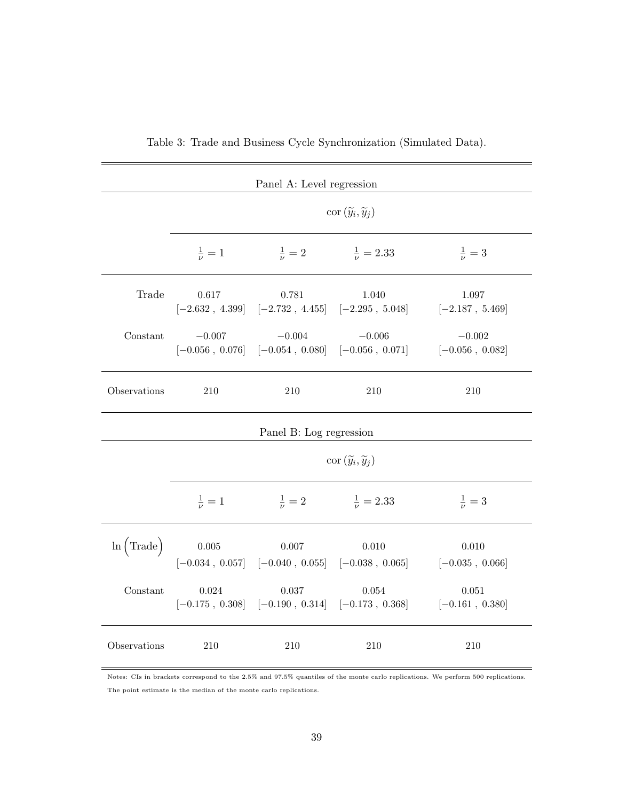| Panel A: Level regression |                     |                         |                                                                                     |                     |
|---------------------------|---------------------|-------------------------|-------------------------------------------------------------------------------------|---------------------|
|                           |                     |                         | $\operatorname{cor}(\widetilde{y}_i, \widetilde{y}_i)$                              |                     |
|                           | $\frac{1}{u} = 1$   | $\frac{1}{u} = 2$       | $\frac{1}{u} = 2.33$                                                                | $\frac{1}{\nu} = 3$ |
| Trade                     | 0.617               | 0.781                   | 1.040<br>$[-2.632, 4.399]$ $[-2.732, 4.455]$ $[-2.295, 5.048]$ $[-2.187, 5.469]$    | 1.097               |
| Constant                  | $-0.007$            | $-0.004$                | $-0.006$<br>$[-0.056, 0.076]$ $[-0.054, 0.080]$ $[-0.056, 0.071]$ $[-0.056, 0.082]$ | $-0.002$            |
| Observations              | 210                 | 210                     | 210                                                                                 | 210                 |
|                           |                     | Panel B: Log regression |                                                                                     |                     |
|                           |                     |                         | $\operatorname{cor}(\widetilde{y}_i, \widetilde{y}_j)$                              |                     |
|                           | $\frac{1}{\nu} = 1$ | $\frac{1}{u} = 2$       | $\frac{1}{u} = 2.33$                                                                | $\frac{1}{\nu} = 3$ |
| $\ln(\text{Trade})$       | $0.005\,$           | 0.007                   | 0.010<br>$[-0.034, 0.057]$ $[-0.040, 0.055]$ $[-0.038, 0.065]$ $[-0.035, 0.066]$    | 0.010               |
| Constant                  | 0.024               | 0.037                   | 0.054<br>$[-0.175, 0.308]$ $[-0.190, 0.314]$ $[-0.173, 0.368]$ $[-0.161, 0.380]$    | $\,0.051\,$         |
| Observations              | 210                 | $210\,$                 | 210                                                                                 | $210\,$             |

| Table 3: Trade and Business Cycle Synchronization (Simulated Data). |
|---------------------------------------------------------------------|
|---------------------------------------------------------------------|

Notes: CIs in brackets correspond to the 2.5% and 97.5% quantiles of the monte carlo replications. We perform 500 replications. The point estimate is the median of the monte carlo replications.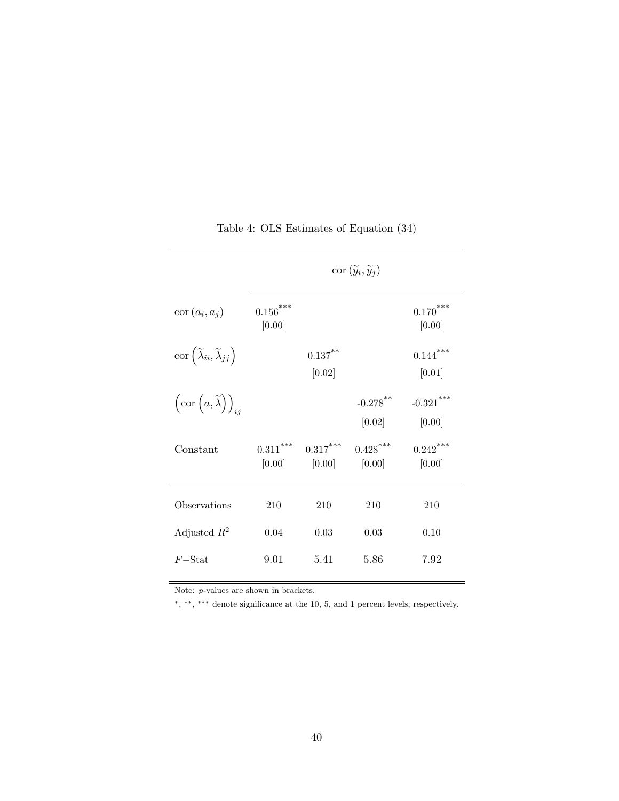|                                                                          | $\operatorname{cor}(\widetilde{y}_i, \widetilde{y}_j)$ |                                 |                       |                       |
|--------------------------------------------------------------------------|--------------------------------------------------------|---------------------------------|-----------------------|-----------------------|
| $\operatorname{cor}(a_i, a_j)$                                           | $0.156^{***}\,$<br>[0.00]                              |                                 |                       | $0.170***$<br>[0.00]  |
| $\operatorname{cor}(\widetilde{\lambda}_{ii}, \widetilde{\lambda}_{jj})$ |                                                        | $0.137***$<br>[0.02]            |                       | $0.144***$<br>[0.01]  |
| $\left(\text{cor}\left(a,\widetilde{\lambda}\right)\right)_{ii}$         |                                                        |                                 | $-0.278$ **<br>[0.02] | $-0.321***$<br>[0.00] |
| Constant                                                                 | [0.00]                                                 | $0.311***$ $0.317***$<br>[0.00] | $0.428***$<br>[0.00]  | $0.242$ ***<br>[0.00] |
| Observations                                                             | 210                                                    | 210                             | 210                   | 210                   |
| Adjusted $R^2$                                                           | 0.04                                                   | 0.03                            | 0.03                  | 0.10                  |
| $F - \text{Stat}$                                                        | 9.01                                                   | 5.41                            | 5.86                  | 7.92                  |

# Table 4: OLS Estimates of Equation (34)

Note:  $\emph{p}\text{-values}$  are shown in brackets.

∗, ∗∗, ∗∗∗ denote significance at the 10, 5, and 1 percent levels, respectively.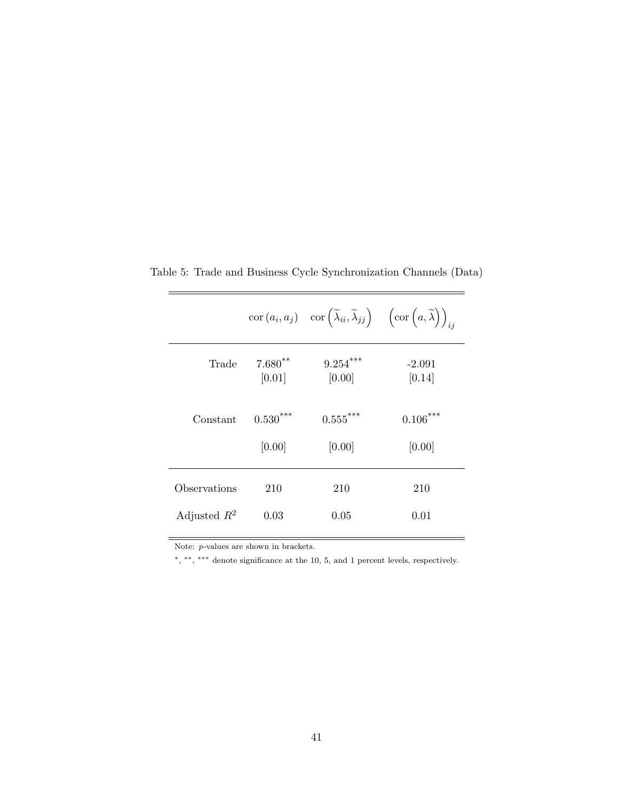|                |                      | $\operatorname{cor}(a_i, a_j) \quad \operatorname{cor}\left(\widetilde{\lambda}_{ii}, \widetilde{\lambda}_{jj}\right) \quad \left(\operatorname{cor}\left(a, \widetilde{\lambda}\right)\right)_{ii}$ |                      |
|----------------|----------------------|------------------------------------------------------------------------------------------------------------------------------------------------------------------------------------------------------|----------------------|
| Trade          | $7.680**$<br>[0.01]  | $9.254***$<br>[0.00]                                                                                                                                                                                 | $-2.091$<br>[0.14]   |
| Constant       | $0.530***$<br>[0.00] | $0.555***$<br>[0.00]                                                                                                                                                                                 | $0.106***$<br>[0.00] |
| Observations   | 210                  | 210                                                                                                                                                                                                  | 210                  |
| Adjusted $R^2$ | 0.03                 | 0.05                                                                                                                                                                                                 | 0.01                 |

Table 5: Trade and Business Cycle Synchronization Channels (Data)

Note:  $p$ -values are shown in brackets.

∗, ∗∗, ∗∗∗ denote significance at the 10, 5, and 1 percent levels, respectively.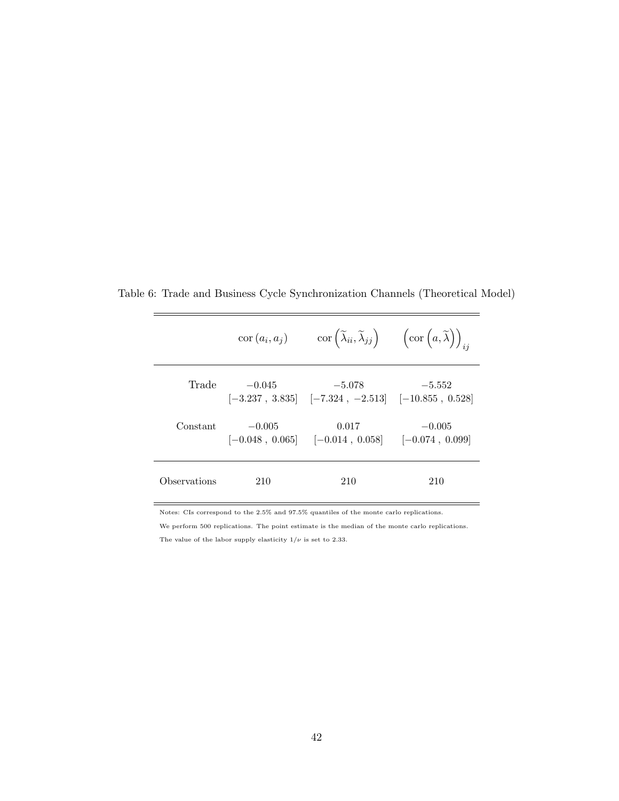|              | $\operatorname{cor}(a_i, a_j)$ |                                                                     | $\operatorname{cor}(\widetilde{\lambda}_{ii}, \widetilde{\lambda}_{jj}) \qquad \left(\operatorname{cor}\left(a, \widetilde{\lambda}\right)\right)_{ii}$ |
|--------------|--------------------------------|---------------------------------------------------------------------|---------------------------------------------------------------------------------------------------------------------------------------------------------|
| Trade        | $-0.045$                       | $-5.078$<br>$[-3.237, 3.835]$ $[-7.324, -2.513]$ $[-10.855, 0.528]$ | $-5.552$                                                                                                                                                |
| Constant     | $-0.005$                       | 0.017<br>$[-0.048, 0.065]$ $[-0.014, 0.058]$                        | $-0.005$<br>$[-0.074, 0.099]$                                                                                                                           |
| Observations | 210                            | 210                                                                 | 210                                                                                                                                                     |

Table 6: Trade and Business Cycle Synchronization Channels (Theoretical Model)

Notes: CIs correspond to the 2.5% and 97.5% quantiles of the monte carlo replications.

We perform 500 replications. The point estimate is the median of the monte carlo replications.

The value of the labor supply elasticity  $1/\nu$  is set to 2.33.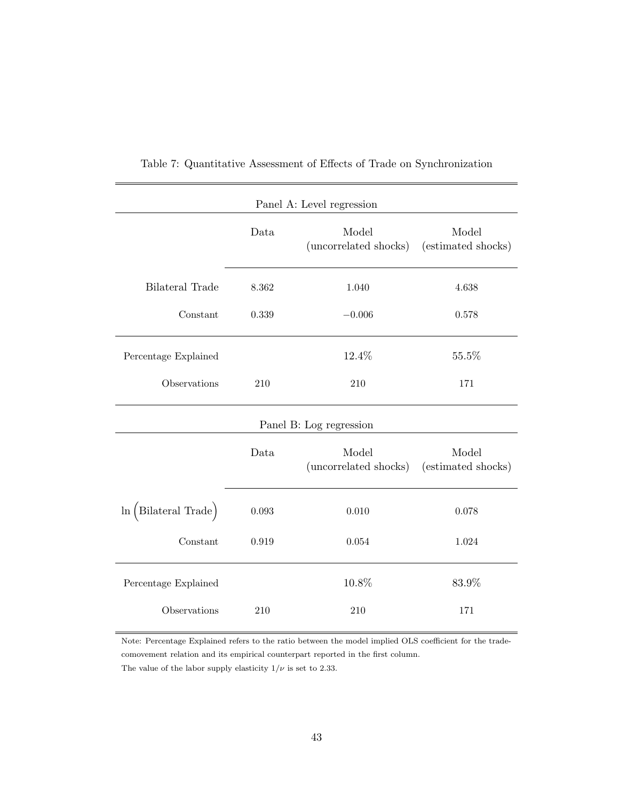| Panel A: Level regression |       |                                |                             |  |
|---------------------------|-------|--------------------------------|-----------------------------|--|
|                           | Data  | Model<br>(uncorrelated shocks) | Model<br>(estimated shocks) |  |
| <b>Bilateral Trade</b>    | 8.362 | 1.040                          | 4.638                       |  |
| Constant                  | 0.339 | $-0.006$                       | 0.578                       |  |
| Percentage Explained      |       | 12.4%                          | 55.5%                       |  |
| Observations              | 210   | 210                            | 171                         |  |
| Panel B: Log regression   |       |                                |                             |  |
|                           | Data  | Model<br>(uncorrelated shocks) | Model<br>(estimated shocks) |  |
| $\ln$ (Bilateral Trade)   | 0.093 | 0.010                          | 0.078                       |  |
| Constant                  | 0.919 | 0.054                          | 1.024                       |  |
| Percentage Explained      |       | $10.8\%$                       | 83.9%                       |  |
| Observations              | 210   | 210                            | 171                         |  |

Table 7: Quantitative Assessment of Effects of Trade on Synchronization

Note: Percentage Explained refers to the ratio between the model implied OLS coefficient for the tradecomovement relation and its empirical counterpart reported in the first column.

The value of the labor supply elasticity  $1/\nu$  is set to 2.33.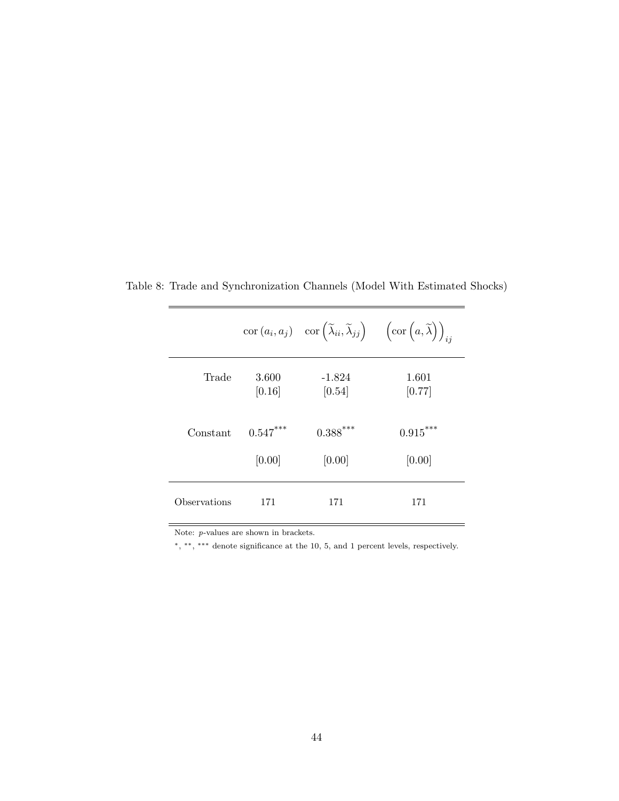|              |                      | $\operatorname{cor}(a_i, a_j) \quad \operatorname{cor}\left(\widetilde{\lambda}_{ii}, \widetilde{\lambda}_{jj}\right) \quad \left(\operatorname{cor}\left(a, \widetilde{\lambda}\right)\right)_{ii}$ |                      |
|--------------|----------------------|------------------------------------------------------------------------------------------------------------------------------------------------------------------------------------------------------|----------------------|
| Trade        | 3.600<br>[0.16]      | $-1.824$<br>[0.54]                                                                                                                                                                                   | 1.601<br>[0.77]      |
| Constant     | $0.547***$<br>[0.00] | $0.388***$<br>[0.00]                                                                                                                                                                                 | $0.915***$<br>[0.00] |
| Observations | 171                  | 171                                                                                                                                                                                                  | 171                  |

Table 8: Trade and Synchronization Channels (Model With Estimated Shocks)

Note:  $\emph{p-values}$  are shown in brackets.

∗, ∗∗, ∗∗∗ denote significance at the 10, 5, and 1 percent levels, respectively.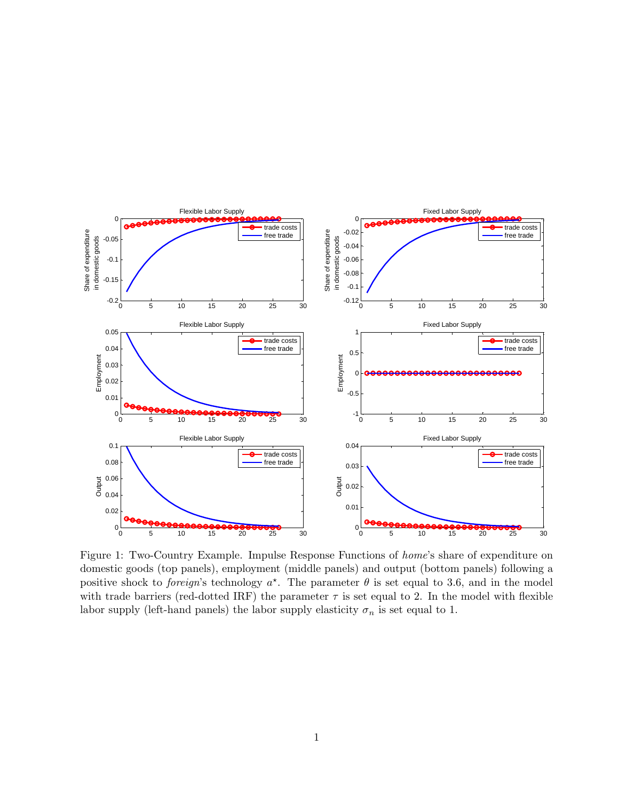

Figure 1: Two-Country Example. Impulse Response Functions of home's share of expenditure on domestic goods (top panels), employment (middle panels) and output (bottom panels) following a positive shock to *foreign*'s technology  $a^*$ . The parameter  $\theta$  is set equal to 3.6, and in the model with trade barriers (red-dotted IRF) the parameter  $\tau$  is set equal to 2. In the model with flexible labor supply (left-hand panels) the labor supply elasticity  $\sigma_n$  is set equal to 1.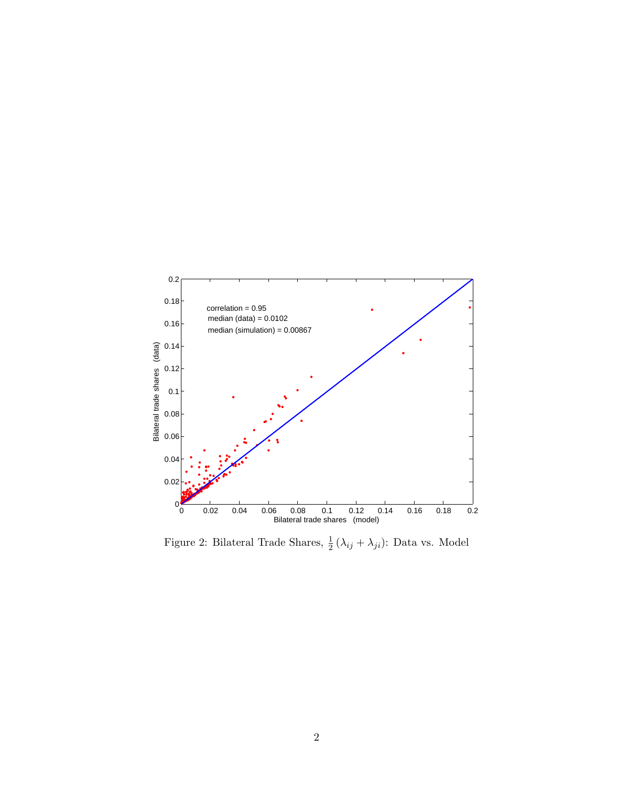

Figure 2: Bilateral Trade Shares,  $\frac{1}{2}(\lambda_{ij} + \lambda_{ji})$ : Data vs. Model